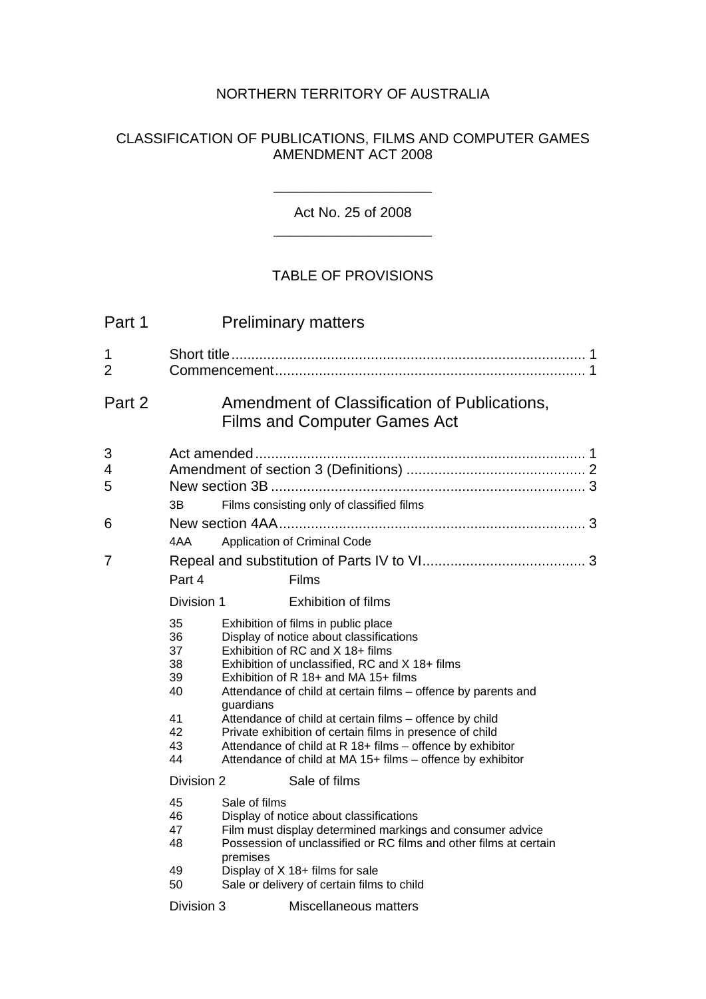## NORTHERN TERRITORY OF AUSTRALIA

## CLASSIFICATION OF PUBLICATIONS, FILMS AND COMPUTER GAMES AMENDMENT ACT 2008

\_\_\_\_\_\_\_\_\_\_\_\_\_\_\_\_\_\_\_\_

Act No. 25 of 2008 \_\_\_\_\_\_\_\_\_\_\_\_\_\_\_\_\_\_\_\_

## TABLE OF PROVISIONS

| Part 1      | <b>Preliminary matters</b>                               |                                                                                                                                                                                                                                                                                                                                                                                                                                                                                                                                              |  |
|-------------|----------------------------------------------------------|----------------------------------------------------------------------------------------------------------------------------------------------------------------------------------------------------------------------------------------------------------------------------------------------------------------------------------------------------------------------------------------------------------------------------------------------------------------------------------------------------------------------------------------------|--|
| 1<br>2      |                                                          |                                                                                                                                                                                                                                                                                                                                                                                                                                                                                                                                              |  |
| Part 2      |                                                          | Amendment of Classification of Publications,<br><b>Films and Computer Games Act</b>                                                                                                                                                                                                                                                                                                                                                                                                                                                          |  |
| 3<br>4<br>5 | 3В                                                       | Films consisting only of classified films                                                                                                                                                                                                                                                                                                                                                                                                                                                                                                    |  |
| 6           | 4AA                                                      | Application of Criminal Code                                                                                                                                                                                                                                                                                                                                                                                                                                                                                                                 |  |
| 7           | Part 4                                                   | Films                                                                                                                                                                                                                                                                                                                                                                                                                                                                                                                                        |  |
|             | Division 1                                               | <b>Exhibition of films</b>                                                                                                                                                                                                                                                                                                                                                                                                                                                                                                                   |  |
|             | 35<br>36<br>37<br>38<br>39<br>40<br>41<br>42<br>43<br>44 | Exhibition of films in public place<br>Display of notice about classifications<br>Exhibition of RC and X 18+ films<br>Exhibition of unclassified, RC and X 18+ films<br>Exhibition of R 18+ and MA 15+ films<br>Attendance of child at certain films - offence by parents and<br>guardians<br>Attendance of child at certain films - offence by child<br>Private exhibition of certain films in presence of child<br>Attendance of child at R 18+ films - offence by exhibitor<br>Attendance of child at MA 15+ films - offence by exhibitor |  |
|             | Division 2                                               | Sale of films                                                                                                                                                                                                                                                                                                                                                                                                                                                                                                                                |  |
|             | 45<br>46<br>47<br>48                                     | Sale of films<br>Display of notice about classifications<br>Film must display determined markings and consumer advice<br>Possession of unclassified or RC films and other films at certain<br>premises                                                                                                                                                                                                                                                                                                                                       |  |
|             | 49<br>50                                                 | Display of X 18+ films for sale<br>Sale or delivery of certain films to child                                                                                                                                                                                                                                                                                                                                                                                                                                                                |  |
|             | Division 3                                               | Miscellaneous matters                                                                                                                                                                                                                                                                                                                                                                                                                                                                                                                        |  |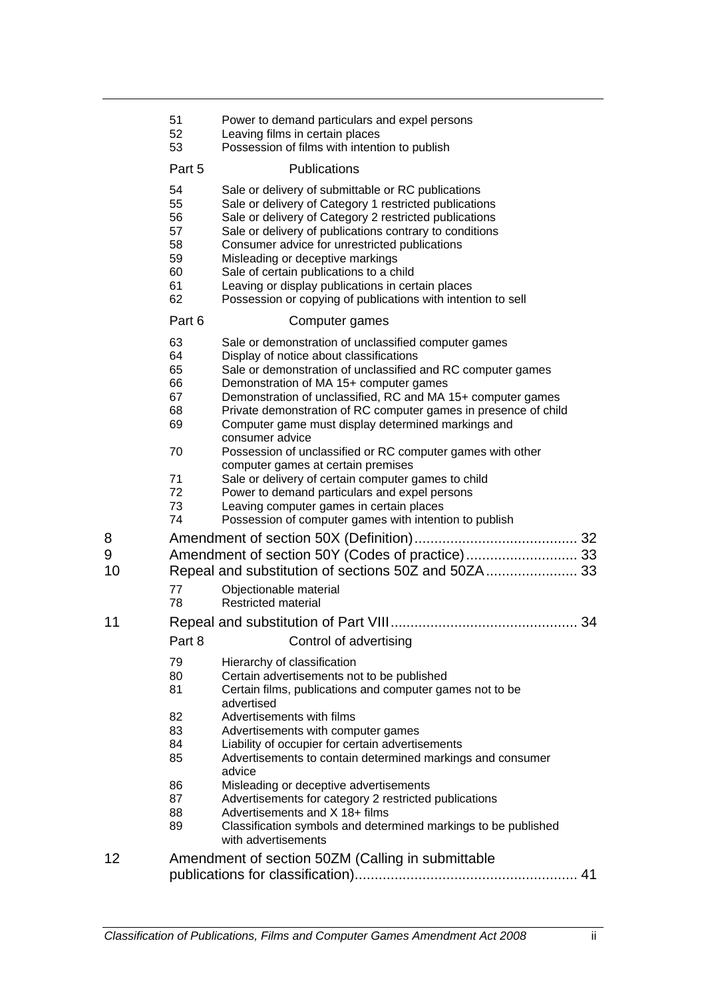| 51 | Power to demand particulars and expel persons |
|----|-----------------------------------------------|
|----|-----------------------------------------------|

- Leaving films in certain places
- Possession of films with intention to publish

#### Part 5 Publications

- Sale or delivery of submittable or RC publications
- Sale or delivery of Category 1 restricted publications
- Sale or delivery of Category 2 restricted publications
- Sale or delivery of publications contrary to conditions
- Consumer advice for unrestricted publications
- Misleading or deceptive markings
- Sale of certain publications to a child
- Leaving or display publications in certain places
- Possession or copying of publications with intention to sell

#### Part 6 Computer games

- Sale or demonstration of unclassified computer games
- Display of notice about classifications
- Sale or demonstration of unclassified and RC computer games
- Demonstration of MA 15+ computer games
- Demonstration of unclassified, RC and MA 15+ computer games
- Private demonstration of RC computer games in presence of child
- Computer game must display determined markings and consumer advice
- Possession of unclassified or RC computer games with other computer games at certain premises
- Sale or delivery of certain computer games to child
- Power to demand particulars and expel persons
- Leaving computer games in certain places
- Possession of computer games with intention to publish
- Amendment of section 50X (Definition)......................................... 32
- Amendment of section 50Y (Codes of practice)............................ 33
- Repeal and substitution of sections 50Z and 50ZA....................... 33
	- Objectionable material
	- Restricted material
- Repeal and substitution of Part VIII............................................... 34

## Part 8 Control of advertising

- Hierarchy of classification
- Certain advertisements not to be published
- Certain films, publications and computer games not to be advertised
- Advertisements with films
- Advertisements with computer games
- Liability of occupier for certain advertisements
- Advertisements to contain determined markings and consumer advice
- Misleading or deceptive advertisements
- 87 Advertisements for category 2 restricted publications
- Advertisements and X 18+ films
- Classification symbols and determined markings to be published with advertisements
- Amendment of section 50ZM (Calling in submittable publications for classification)........................................................ 41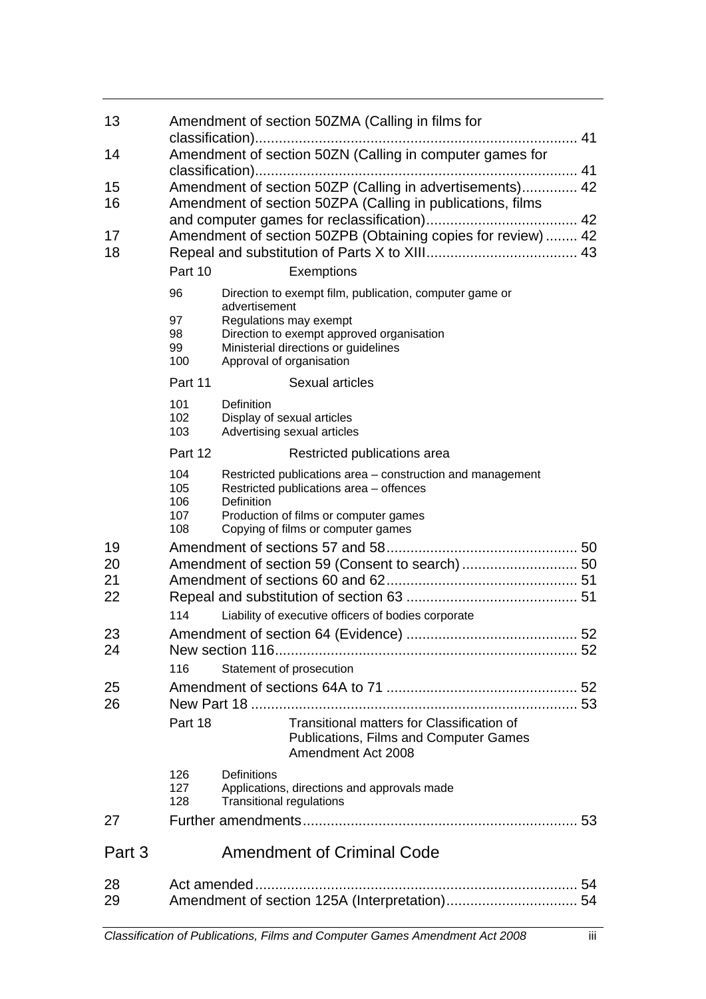| 13       | Amendment of section 50ZMA (Calling in films for             |                                                                                                       |  |
|----------|--------------------------------------------------------------|-------------------------------------------------------------------------------------------------------|--|
| 14       | Amendment of section 50ZN (Calling in computer games for     |                                                                                                       |  |
|          |                                                              |                                                                                                       |  |
| 15       | Amendment of section 50ZP (Calling in advertisements) 42     |                                                                                                       |  |
| 16       | Amendment of section 50ZPA (Calling in publications, films   |                                                                                                       |  |
| 17       | Amendment of section 50ZPB (Obtaining copies for review)  42 |                                                                                                       |  |
| 18       |                                                              |                                                                                                       |  |
|          | Part 10                                                      | Exemptions                                                                                            |  |
|          | 96                                                           | Direction to exempt film, publication, computer game or                                               |  |
|          | 97                                                           | advertisement<br>Regulations may exempt                                                               |  |
|          | 98                                                           | Direction to exempt approved organisation                                                             |  |
|          | 99<br>100                                                    | Ministerial directions or guidelines<br>Approval of organisation                                      |  |
|          | Part 11                                                      | Sexual articles                                                                                       |  |
|          | 101                                                          | <b>Definition</b>                                                                                     |  |
|          | 102                                                          | Display of sexual articles                                                                            |  |
|          | 103                                                          | Advertising sexual articles                                                                           |  |
|          | Part 12                                                      | Restricted publications area                                                                          |  |
|          | 104<br>105                                                   | Restricted publications area - construction and management<br>Restricted publications area - offences |  |
|          | 106                                                          | Definition                                                                                            |  |
|          | 107<br>108                                                   | Production of films or computer games<br>Copying of films or computer games                           |  |
| 19       |                                                              |                                                                                                       |  |
| 20       |                                                              |                                                                                                       |  |
| 21       |                                                              |                                                                                                       |  |
| 22       |                                                              |                                                                                                       |  |
|          | 114                                                          | Liability of executive officers of bodies corporate                                                   |  |
| 23       |                                                              |                                                                                                       |  |
| 24       | 116                                                          | Statement of prosecution                                                                              |  |
| 25       |                                                              |                                                                                                       |  |
| 26       |                                                              |                                                                                                       |  |
|          | Part 18                                                      | Transitional matters for Classification of                                                            |  |
|          |                                                              | <b>Publications, Films and Computer Games</b><br>Amendment Act 2008                                   |  |
|          | 126                                                          | Definitions                                                                                           |  |
|          | 127<br>128                                                   | Applications, directions and approvals made<br><b>Transitional regulations</b>                        |  |
| 27       |                                                              |                                                                                                       |  |
| Part 3   |                                                              | <b>Amendment of Criminal Code</b>                                                                     |  |
|          |                                                              |                                                                                                       |  |
| 28<br>29 |                                                              |                                                                                                       |  |
|          |                                                              |                                                                                                       |  |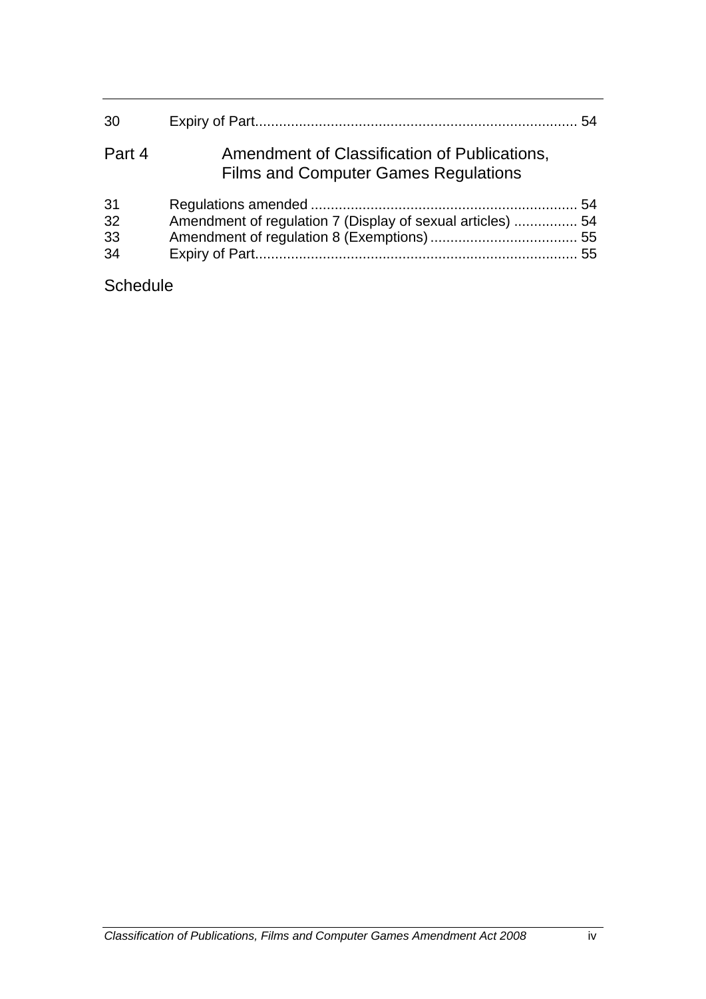| 30                   |                                                                                             |  |
|----------------------|---------------------------------------------------------------------------------------------|--|
| Part 4               | Amendment of Classification of Publications,<br><b>Films and Computer Games Regulations</b> |  |
| 31<br>32<br>33<br>34 | Amendment of regulation 7 (Display of sexual articles)  54                                  |  |

# **Schedule**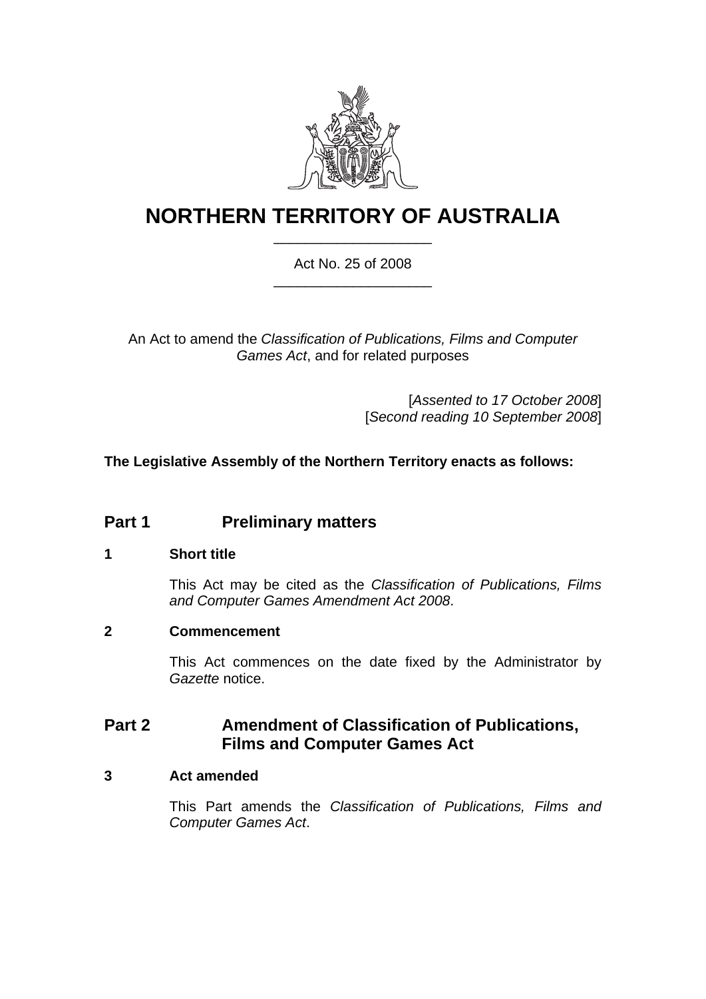

# **NORTHERN TERRITORY OF AUSTRALIA** \_\_\_\_\_\_\_\_\_\_\_\_\_\_\_\_\_\_\_\_

## Act No. 25 of 2008 \_\_\_\_\_\_\_\_\_\_\_\_\_\_\_\_\_\_\_\_

An Act to amend the *Classification of Publications, Films and Computer Games Act*, and for related purposes

> [*Assented to 17 October 2008*] [*Second reading 10 September 2008*]

## **The Legislative Assembly of the Northern Territory enacts as follows:**

## **Part 1 Preliminary matters**

## **1 Short title**

This Act may be cited as the *Classification of Publications, Films and Computer Games Amendment Act 2008*.

## **2 Commencement**

This Act commences on the date fixed by the Administrator by *Gazette* notice.

## **Part 2 Amendment of Classification of Publications, Films and Computer Games Act**

## **3 Act amended**

This Part amends the *Classification of Publications, Films and Computer Games Act*.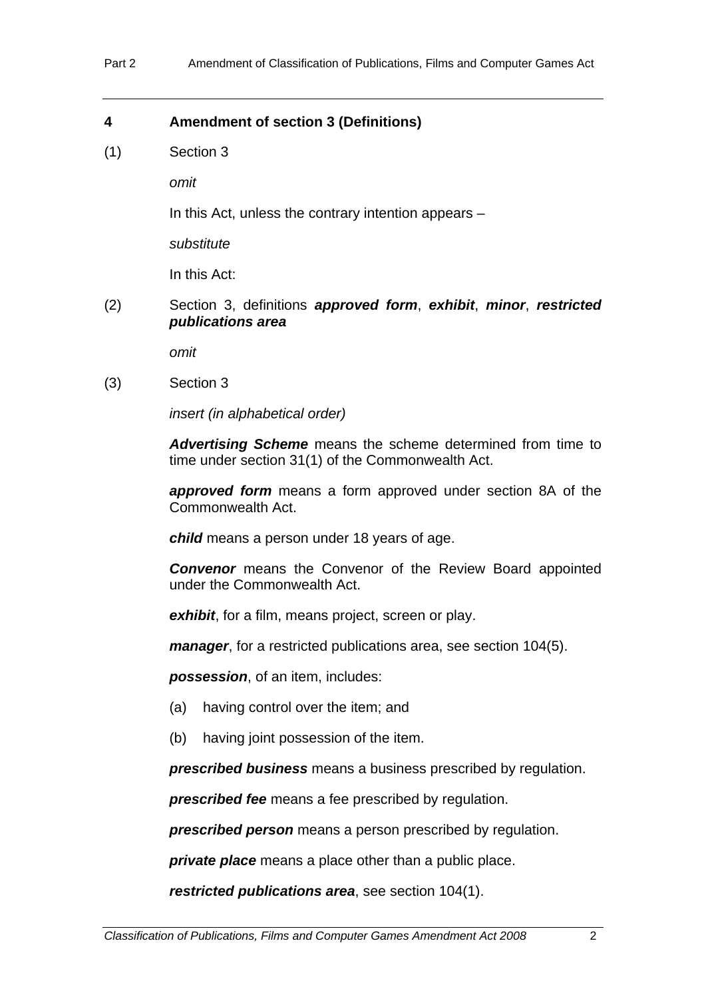## **4 Amendment of section 3 (Definitions)**

(1) Section 3

*omit* 

In this Act, unless the contrary intention appears –

*substitute* 

In this Act:

(2) Section 3, definitions *approved form*, *exhibit*, *minor*, *restricted publications area*

*omit* 

(3) Section 3

*insert (in alphabetical order)* 

*Advertising Scheme* means the scheme determined from time to time under section 31(1) of the Commonwealth Act.

*approved form* means a form approved under section 8A of the Commonwealth Act.

*child* means a person under 18 years of age.

*Convenor* means the Convenor of the Review Board appointed under the Commonwealth Act.

*exhibit*, for a film, means project, screen or play.

*manager*, for a restricted publications area, see section 104(5).

*possession*, of an item, includes:

- (a) having control over the item; and
- (b) having joint possession of the item.

*prescribed business* means a business prescribed by regulation.

*prescribed fee* means a fee prescribed by regulation.

*prescribed person* means a person prescribed by regulation.

*private place* means a place other than a public place.

*restricted publications area*, see section 104(1).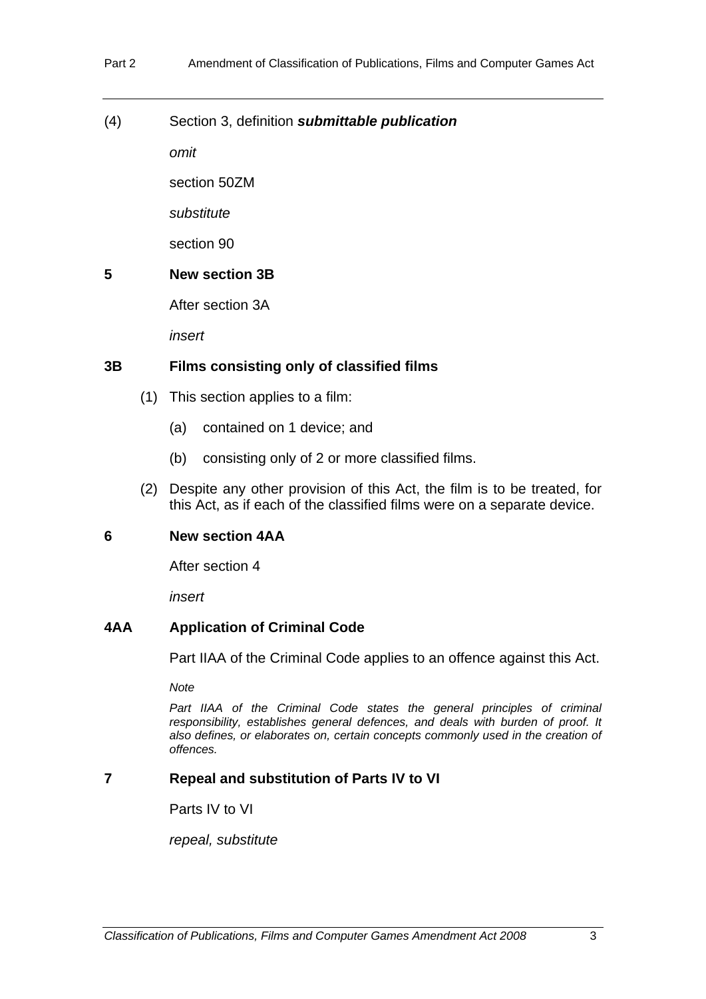(4) Section 3, definition *submittable publication* 

*omit* 

section 50ZM

*substitute* 

section 90

## **5 New section 3B**

After section 3A

*insert* 

## **3B Films consisting only of classified films**

- (1) This section applies to a film:
	- (a) contained on 1 device; and
	- (b) consisting only of 2 or more classified films.
- (2) Despite any other provision of this Act, the film is to be treated, for this Act, as if each of the classified films were on a separate device.

## **6 New section 4AA**

After section 4

*insert* 

## **4AA Application of Criminal Code**

Part IIAA of the Criminal Code applies to an offence against this Act.

*Note* 

Part IIAA of the Criminal Code states the general principles of criminal *responsibility, establishes general defences, and deals with burden of proof. It also defines, or elaborates on, certain concepts commonly used in the creation of offences.* 

## **7 Repeal and substitution of Parts IV to VI**

Parts IV to VI

*repeal, substitute*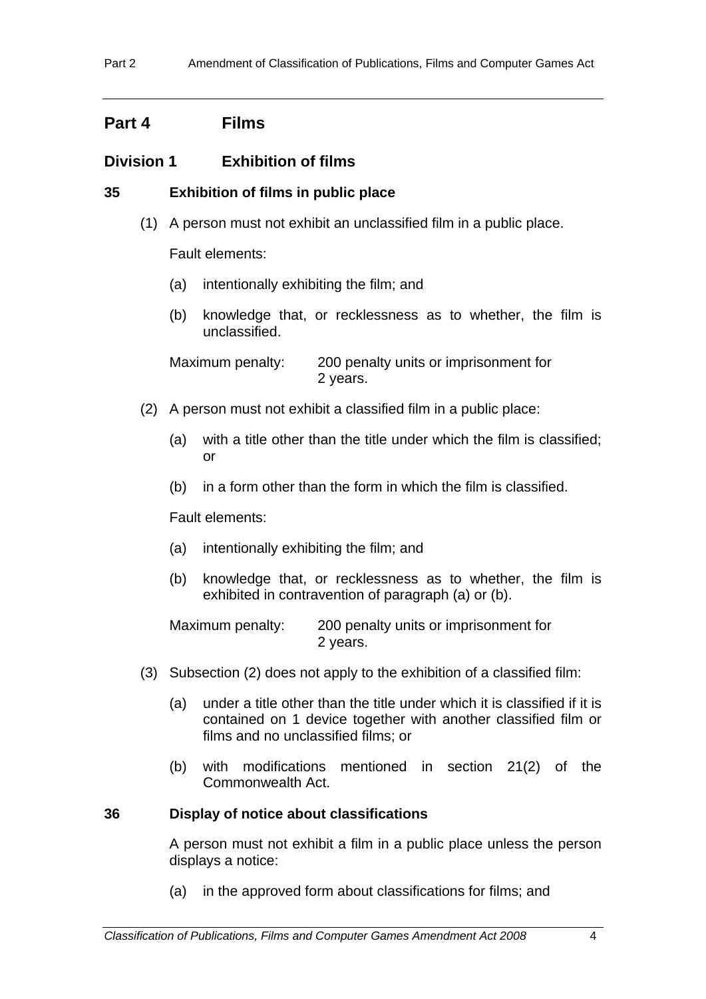## **Part 4 Films**

## **Division 1 Exhibition of films**

- **35 Exhibition of films in public place** 
	- (1) A person must not exhibit an unclassified film in a public place.

Fault elements:

- (a) intentionally exhibiting the film; and
- (b) knowledge that, or recklessness as to whether, the film is unclassified.

Maximum penalty: 200 penalty units or imprisonment for 2 years.

- (2) A person must not exhibit a classified film in a public place:
	- (a) with a title other than the title under which the film is classified; or
	- (b) in a form other than the form in which the film is classified.

Fault elements:

- (a) intentionally exhibiting the film; and
- (b) knowledge that, or recklessness as to whether, the film is exhibited in contravention of paragraph (a) or (b).

Maximum penalty: 200 penalty units or imprisonment for 2 years.

- (3) Subsection (2) does not apply to the exhibition of a classified film:
	- (a) under a title other than the title under which it is classified if it is contained on 1 device together with another classified film or films and no unclassified films; or
	- (b) with modifications mentioned in section 21(2) of the Commonwealth Act.

## **36 Display of notice about classifications**

A person must not exhibit a film in a public place unless the person displays a notice:

(a) in the approved form about classifications for films; and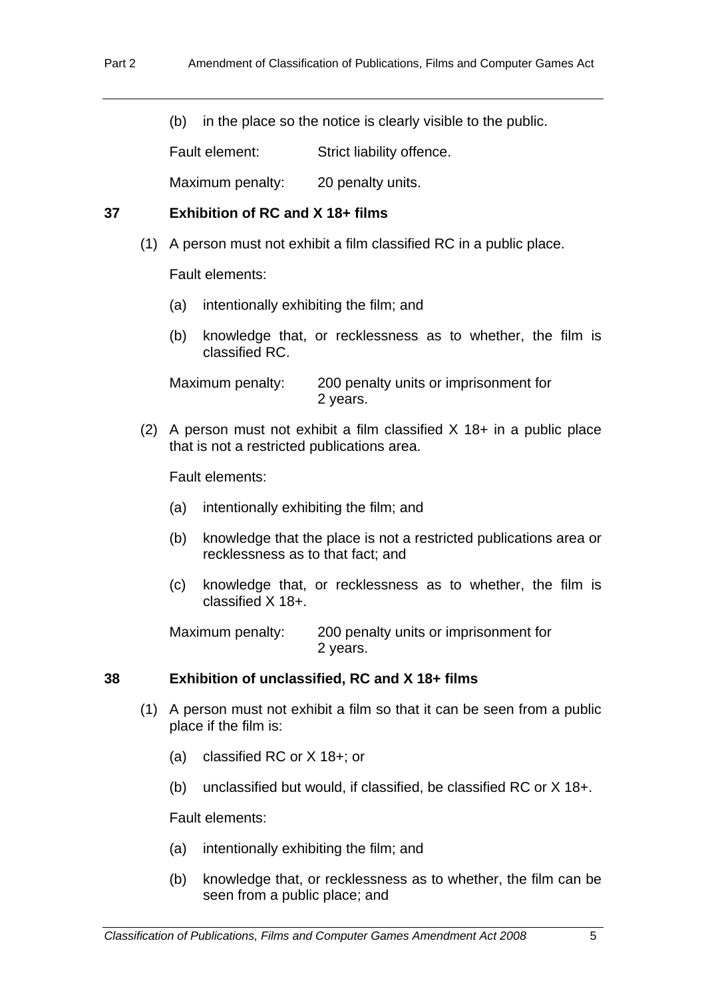(b) in the place so the notice is clearly visible to the public.

Fault element: Strict liability offence.

Maximum penalty: 20 penalty units.

## **37 Exhibition of RC and X 18+ films**

(1) A person must not exhibit a film classified RC in a public place.

Fault elements:

- (a) intentionally exhibiting the film; and
- (b) knowledge that, or recklessness as to whether, the film is classified RC.

Maximum penalty: 200 penalty units or imprisonment for 2 years.

(2) A person must not exhibit a film classified  $X$  18+ in a public place that is not a restricted publications area.

Fault elements:

- (a) intentionally exhibiting the film; and
- (b) knowledge that the place is not a restricted publications area or recklessness as to that fact; and
- (c) knowledge that, or recklessness as to whether, the film is classified X 18+.

Maximum penalty: 200 penalty units or imprisonment for 2 years.

## **38 Exhibition of unclassified, RC and X 18+ films**

- (1) A person must not exhibit a film so that it can be seen from a public place if the film is:
	- (a) classified RC or X 18+; or
	- (b) unclassified but would, if classified, be classified RC or X 18+.

Fault elements:

- (a) intentionally exhibiting the film; and
- (b) knowledge that, or recklessness as to whether, the film can be seen from a public place; and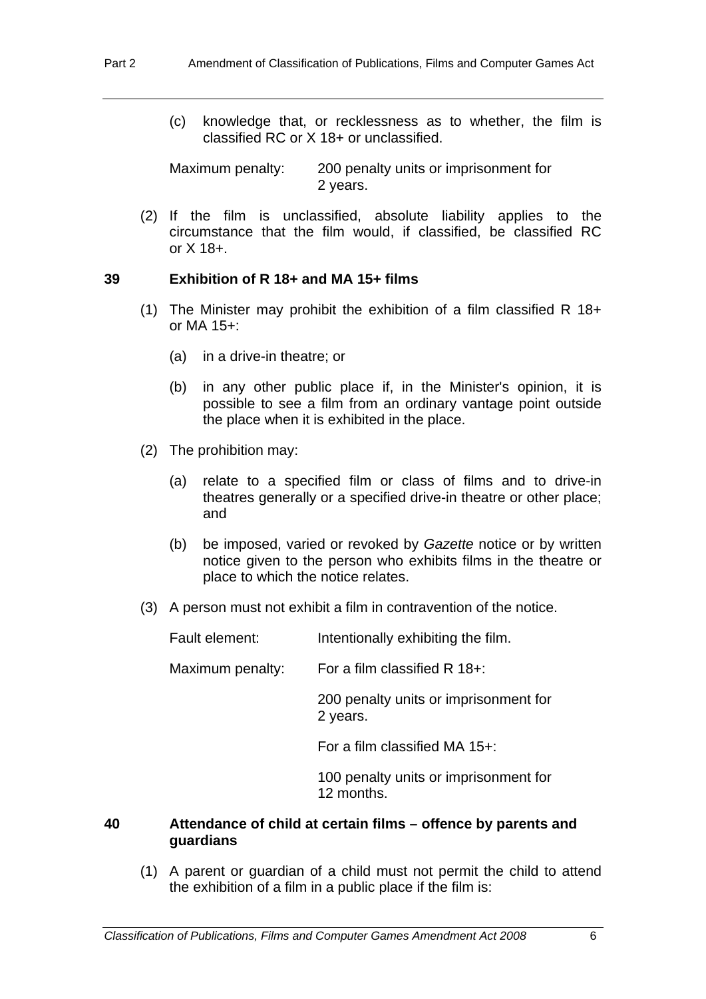(c) knowledge that, or recklessness as to whether, the film is classified RC or X 18+ or unclassified.

Maximum penalty: 200 penalty units or imprisonment for 2 years.

 (2) If the film is unclassified, absolute liability applies to the circumstance that the film would, if classified, be classified RC or X 18+.

## **39 Exhibition of R 18+ and MA 15+ films**

- (1) The Minister may prohibit the exhibition of a film classified R  $18+$ or MA 15+:
	- (a) in a drive-in theatre; or
	- (b) in any other public place if, in the Minister's opinion, it is possible to see a film from an ordinary vantage point outside the place when it is exhibited in the place.
- (2) The prohibition may:
	- (a) relate to a specified film or class of films and to drive-in theatres generally or a specified drive-in theatre or other place; and
	- (b) be imposed, varied or revoked by *Gazette* notice or by written notice given to the person who exhibits films in the theatre or place to which the notice relates.
- (3) A person must not exhibit a film in contravention of the notice.

| Fault element:   | Intentionally exhibiting the film.                  |  |
|------------------|-----------------------------------------------------|--|
| Maximum penalty: | For a film classified $R$ 18+:                      |  |
|                  | 200 penalty units or imprisonment for<br>2 years.   |  |
|                  | For a film classified MA $15+$ :                    |  |
|                  | 100 penalty units or imprisonment for<br>12 months. |  |
|                  |                                                     |  |

## **40 Attendance of child at certain films – offence by parents and guardians**

 (1) A parent or guardian of a child must not permit the child to attend the exhibition of a film in a public place if the film is: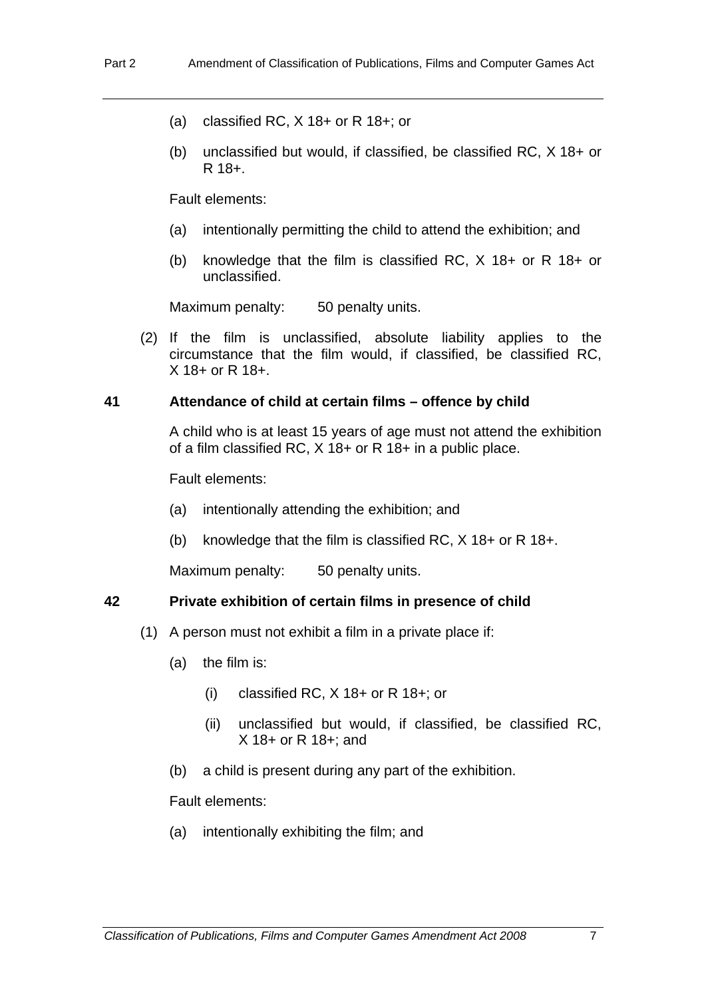- (a) classified RC, X 18+ or R 18+; or
- (b) unclassified but would, if classified, be classified RC, X 18+ or R 18+.

Fault elements:

- (a) intentionally permitting the child to attend the exhibition; and
- (b) knowledge that the film is classified RC, X 18+ or R 18+ or unclassified.

Maximum penalty: 50 penalty units.

 (2) If the film is unclassified, absolute liability applies to the circumstance that the film would, if classified, be classified RC, X 18+ or R 18+.

#### **41 Attendance of child at certain films – offence by child**

A child who is at least 15 years of age must not attend the exhibition of a film classified RC,  $X$  18+ or R 18+ in a public place.

Fault elements:

- (a) intentionally attending the exhibition; and
- (b) knowledge that the film is classified RC, X 18+ or R 18+.

Maximum penalty: 50 penalty units.

#### **42 Private exhibition of certain films in presence of child**

- (1) A person must not exhibit a film in a private place if:
	- (a) the film is:
		- (i) classified RC, X 18+ or R 18+; or
		- (ii) unclassified but would, if classified, be classified RC, X 18+ or R 18+; and
	- (b) a child is present during any part of the exhibition.

Fault elements:

(a) intentionally exhibiting the film; and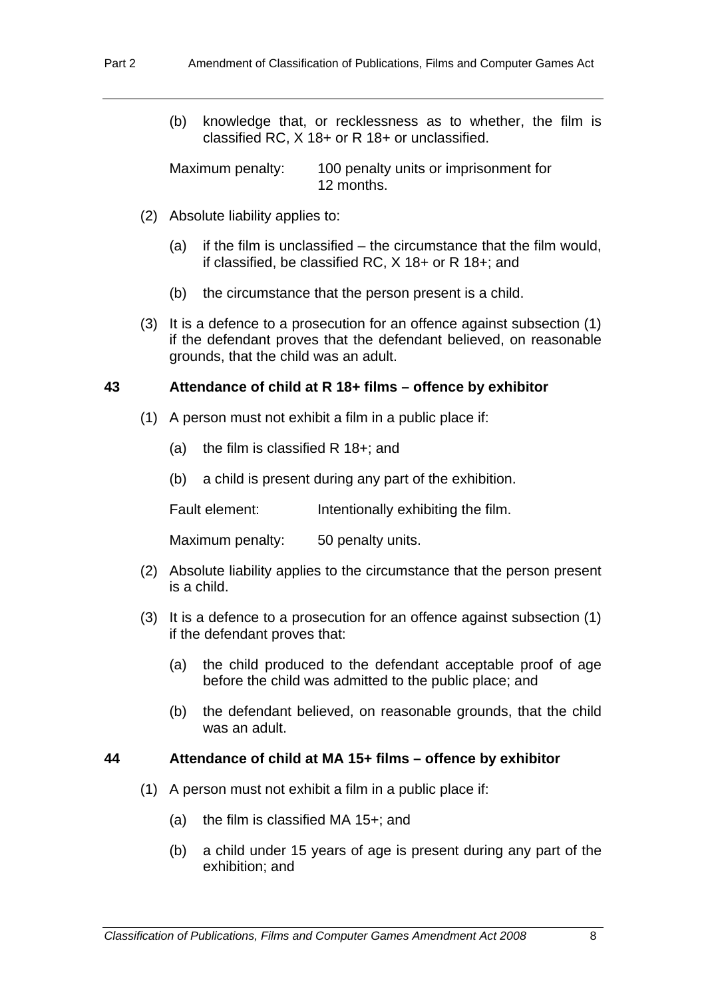(b) knowledge that, or recklessness as to whether, the film is classified RC, X 18+ or R 18+ or unclassified.

Maximum penalty: 100 penalty units or imprisonment for 12 months.

- (2) Absolute liability applies to:
	- (a) if the film is unclassified the circumstance that the film would, if classified, be classified RC, X 18+ or R 18+; and
	- (b) the circumstance that the person present is a child.
- (3) It is a defence to a prosecution for an offence against subsection (1) if the defendant proves that the defendant believed, on reasonable grounds, that the child was an adult.

#### **43 Attendance of child at R 18+ films – offence by exhibitor**

- (1) A person must not exhibit a film in a public place if:
	- (a) the film is classified R 18+; and
	- (b) a child is present during any part of the exhibition.

Fault element: Intentionally exhibiting the film.

Maximum penalty: 50 penalty units.

- (2) Absolute liability applies to the circumstance that the person present is a child.
- (3) It is a defence to a prosecution for an offence against subsection (1) if the defendant proves that:
	- (a) the child produced to the defendant acceptable proof of age before the child was admitted to the public place; and
	- (b) the defendant believed, on reasonable grounds, that the child was an adult.

#### **44 Attendance of child at MA 15+ films – offence by exhibitor**

- (1) A person must not exhibit a film in a public place if:
	- (a) the film is classified MA 15+; and
	- (b) a child under 15 years of age is present during any part of the exhibition; and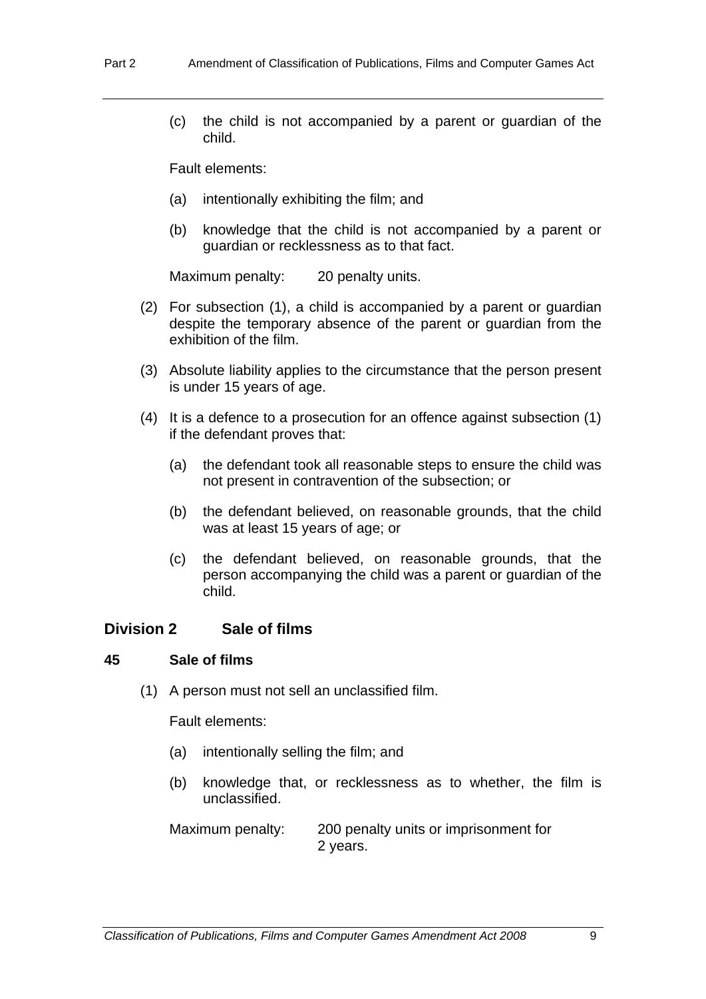(c) the child is not accompanied by a parent or guardian of the child.

Fault elements:

- (a) intentionally exhibiting the film; and
- (b) knowledge that the child is not accompanied by a parent or guardian or recklessness as to that fact.

Maximum penalty: 20 penalty units.

- (2) For subsection (1), a child is accompanied by a parent or guardian despite the temporary absence of the parent or guardian from the exhibition of the film.
- (3) Absolute liability applies to the circumstance that the person present is under 15 years of age.
- (4) It is a defence to a prosecution for an offence against subsection (1) if the defendant proves that:
	- (a) the defendant took all reasonable steps to ensure the child was not present in contravention of the subsection; or
	- (b) the defendant believed, on reasonable grounds, that the child was at least 15 years of age; or
	- (c) the defendant believed, on reasonable grounds, that the person accompanying the child was a parent or guardian of the child.

## **Division 2 Sale of films**

#### **45 Sale of films**

(1) A person must not sell an unclassified film.

Fault elements:

- (a) intentionally selling the film; and
- (b) knowledge that, or recklessness as to whether, the film is unclassified.

Maximum penalty: 200 penalty units or imprisonment for 2 years.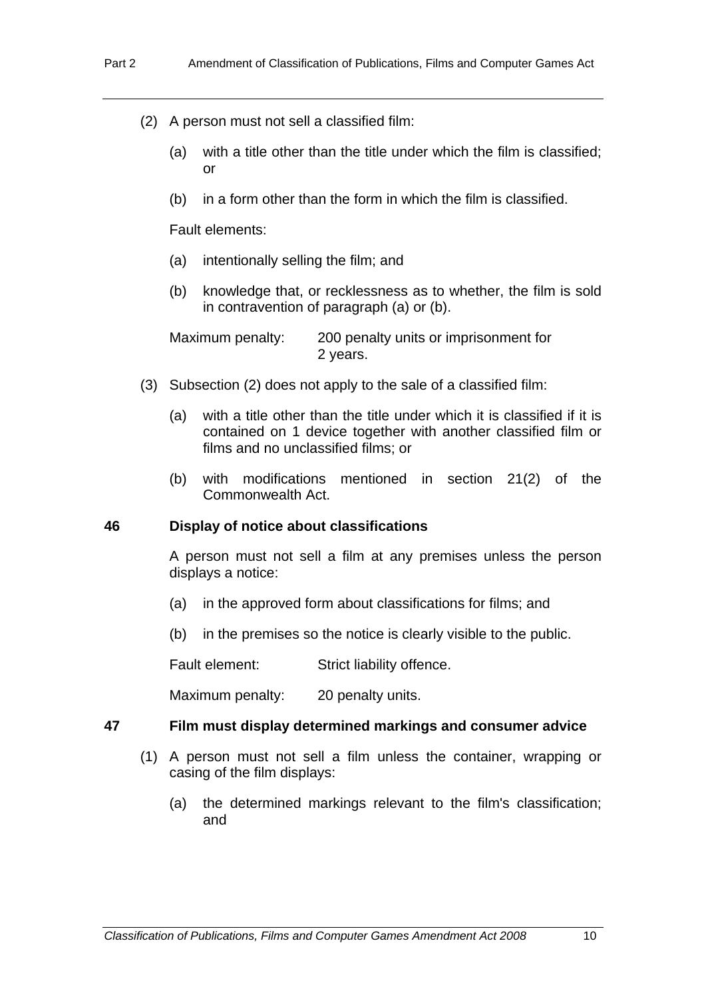- (2) A person must not sell a classified film:
	- (a) with a title other than the title under which the film is classified; or
	- (b) in a form other than the form in which the film is classified.

Fault elements:

- (a) intentionally selling the film; and
- (b) knowledge that, or recklessness as to whether, the film is sold in contravention of paragraph (a) or (b).

Maximum penalty: 200 penalty units or imprisonment for 2 years.

- (3) Subsection (2) does not apply to the sale of a classified film:
	- (a) with a title other than the title under which it is classified if it is contained on 1 device together with another classified film or films and no unclassified films; or
	- (b) with modifications mentioned in section 21(2) of the Commonwealth Act.

#### **46 Display of notice about classifications**

A person must not sell a film at any premises unless the person displays a notice:

- (a) in the approved form about classifications for films; and
- (b) in the premises so the notice is clearly visible to the public.

Fault element: Strict liability offence.

Maximum penalty: 20 penalty units.

#### **47 Film must display determined markings and consumer advice**

- (1) A person must not sell a film unless the container, wrapping or casing of the film displays:
	- (a) the determined markings relevant to the film's classification; and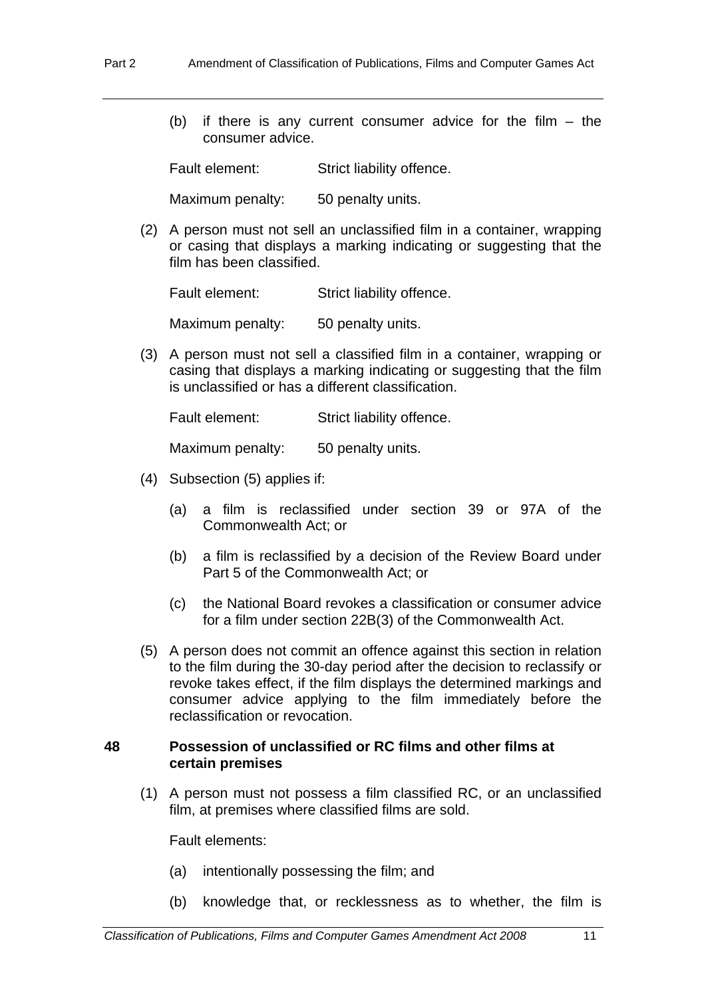(b) if there is any current consumer advice for the film  $-$  the consumer advice.

Fault element: Strict liability offence.

Maximum penalty: 50 penalty units.

 (2) A person must not sell an unclassified film in a container, wrapping or casing that displays a marking indicating or suggesting that the film has been classified.

Fault element: Strict liability offence.

Maximum penalty: 50 penalty units.

 (3) A person must not sell a classified film in a container, wrapping or casing that displays a marking indicating or suggesting that the film is unclassified or has a different classification.

Fault element: Strict liability offence.

Maximum penalty: 50 penalty units.

- (4) Subsection (5) applies if:
	- (a) a film is reclassified under section 39 or 97A of the Commonwealth Act; or
	- (b) a film is reclassified by a decision of the Review Board under Part 5 of the Commonwealth Act; or
	- (c) the National Board revokes a classification or consumer advice for a film under section 22B(3) of the Commonwealth Act.
- (5) A person does not commit an offence against this section in relation to the film during the 30-day period after the decision to reclassify or revoke takes effect, if the film displays the determined markings and consumer advice applying to the film immediately before the reclassification or revocation.

#### **48 Possession of unclassified or RC films and other films at certain premises**

 (1) A person must not possess a film classified RC, or an unclassified film, at premises where classified films are sold.

Fault elements:

- (a) intentionally possessing the film; and
- (b) knowledge that, or recklessness as to whether, the film is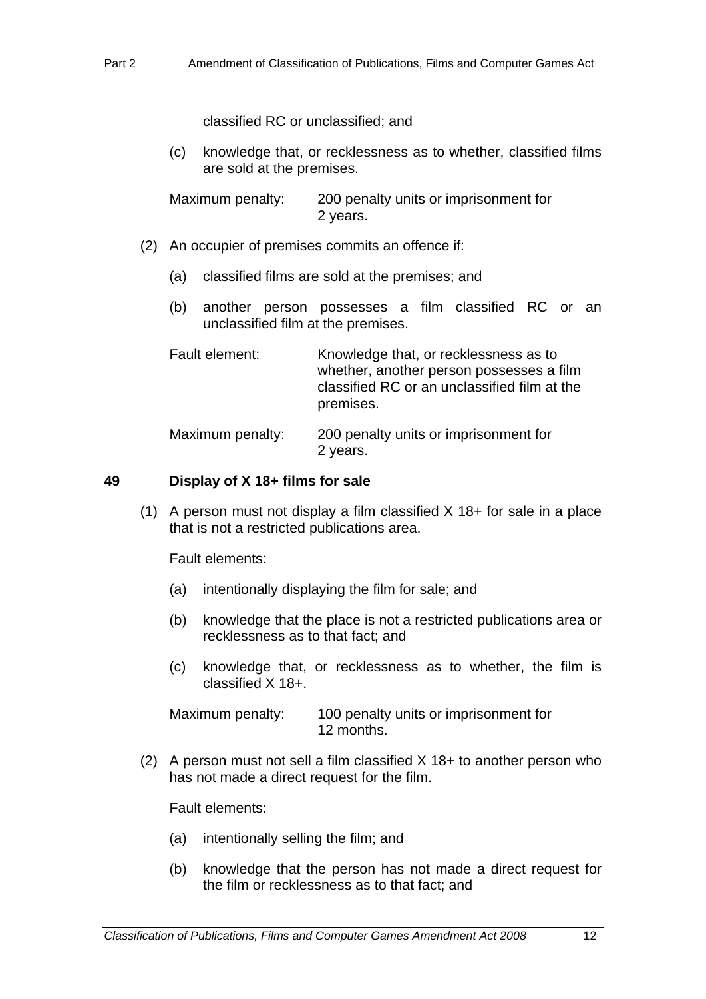classified RC or unclassified; and

(c) knowledge that, or recklessness as to whether, classified films are sold at the premises.

Maximum penalty: 200 penalty units or imprisonment for 2 years.

- (2) An occupier of premises commits an offence if:
	- (a) classified films are sold at the premises; and
	- (b) another person possesses a film classified RC or an unclassified film at the premises.

| Fault element:   | Knowledge that, or recklessness as to<br>whether, another person possesses a film<br>classified RC or an unclassified film at the<br>premises. |  |
|------------------|------------------------------------------------------------------------------------------------------------------------------------------------|--|
| Maximum penalty: | 200 penalty units or imprisonment for<br>2 years.                                                                                              |  |

#### **49 Display of X 18+ films for sale**

 (1) A person must not display a film classified X 18+ for sale in a place that is not a restricted publications area.

Fault elements:

- (a) intentionally displaying the film for sale; and
- (b) knowledge that the place is not a restricted publications area or recklessness as to that fact; and
- (c) knowledge that, or recklessness as to whether, the film is classified X 18+.

Maximum penalty: 100 penalty units or imprisonment for 12 months.

 (2) A person must not sell a film classified X 18+ to another person who has not made a direct request for the film.

Fault elements:

- (a) intentionally selling the film; and
- (b) knowledge that the person has not made a direct request for the film or recklessness as to that fact; and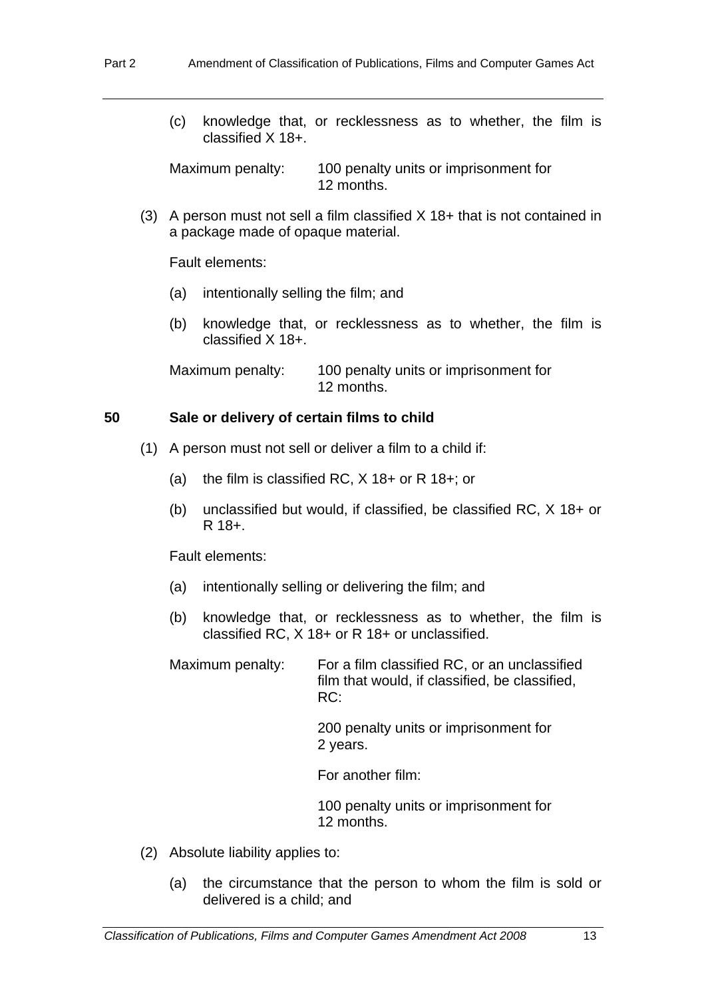(c) knowledge that, or recklessness as to whether, the film is classified X 18+.

Maximum penalty: 100 penalty units or imprisonment for 12 months.

 (3) A person must not sell a film classified X 18+ that is not contained in a package made of opaque material.

Fault elements:

- (a) intentionally selling the film; and
- (b) knowledge that, or recklessness as to whether, the film is classified X 18+.

Maximum penalty: 100 penalty units or imprisonment for 12 months.

## **50 Sale or delivery of certain films to child**

- (1) A person must not sell or deliver a film to a child if:
	- (a) the film is classified RC,  $X$  18+ or R 18+; or
	- (b) unclassified but would, if classified, be classified RC, X 18+ or R 18+.

Fault elements:

- (a) intentionally selling or delivering the film; and
- (b) knowledge that, or recklessness as to whether, the film is classified RC, X 18+ or R 18+ or unclassified.

Maximum penalty: For a film classified RC, or an unclassified film that would, if classified, be classified, RC:

> 200 penalty units or imprisonment for 2 years.

For another film:

 100 penalty units or imprisonment for 12 months.

- (2) Absolute liability applies to:
	- (a) the circumstance that the person to whom the film is sold or delivered is a child; and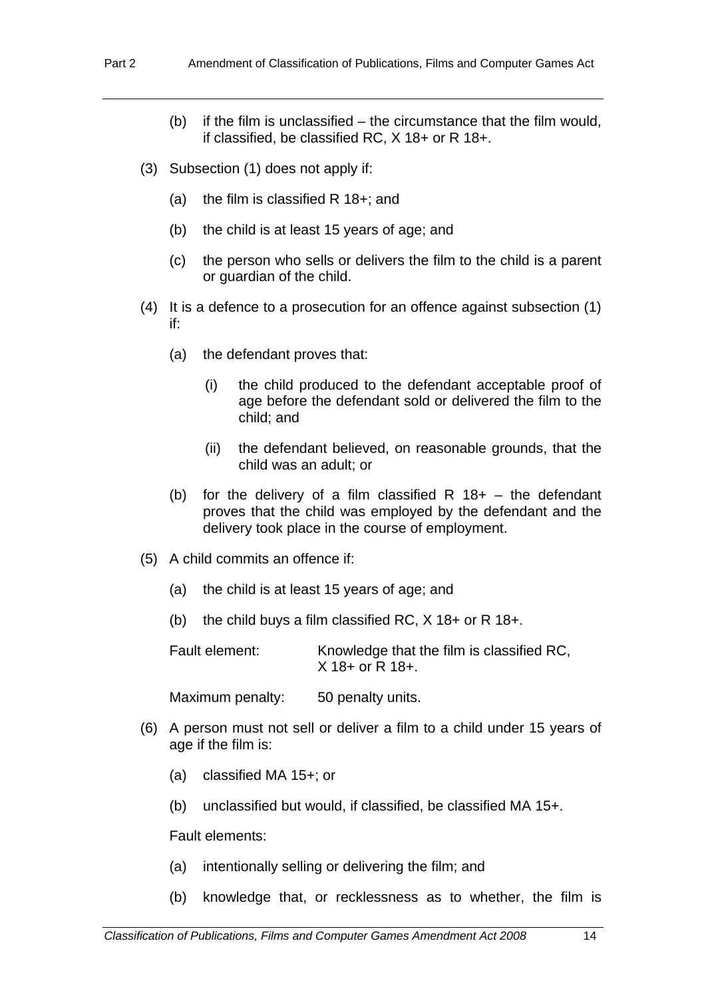- (b) if the film is unclassified the circumstance that the film would, if classified, be classified RC, X 18+ or R 18+.
- (3) Subsection (1) does not apply if:
	- (a) the film is classified R 18+; and
	- (b) the child is at least 15 years of age; and
	- (c) the person who sells or delivers the film to the child is a parent or guardian of the child.
- (4) It is a defence to a prosecution for an offence against subsection (1) if:
	- (a) the defendant proves that:
		- (i) the child produced to the defendant acceptable proof of age before the defendant sold or delivered the film to the child; and
		- (ii) the defendant believed, on reasonable grounds, that the child was an adult; or
	- (b) for the delivery of a film classified R  $18+$  the defendant proves that the child was employed by the defendant and the delivery took place in the course of employment.
- (5) A child commits an offence if:
	- (a) the child is at least 15 years of age; and
	- (b) the child buys a film classified RC, X 18+ or R 18+.

Fault element: Knowledge that the film is classified RC, X 18+ or R 18+.

Maximum penalty: 50 penalty units.

- (6) A person must not sell or deliver a film to a child under 15 years of age if the film is:
	- (a) classified MA 15+; or
	- (b) unclassified but would, if classified, be classified MA 15+.

Fault elements:

- (a) intentionally selling or delivering the film; and
- (b) knowledge that, or recklessness as to whether, the film is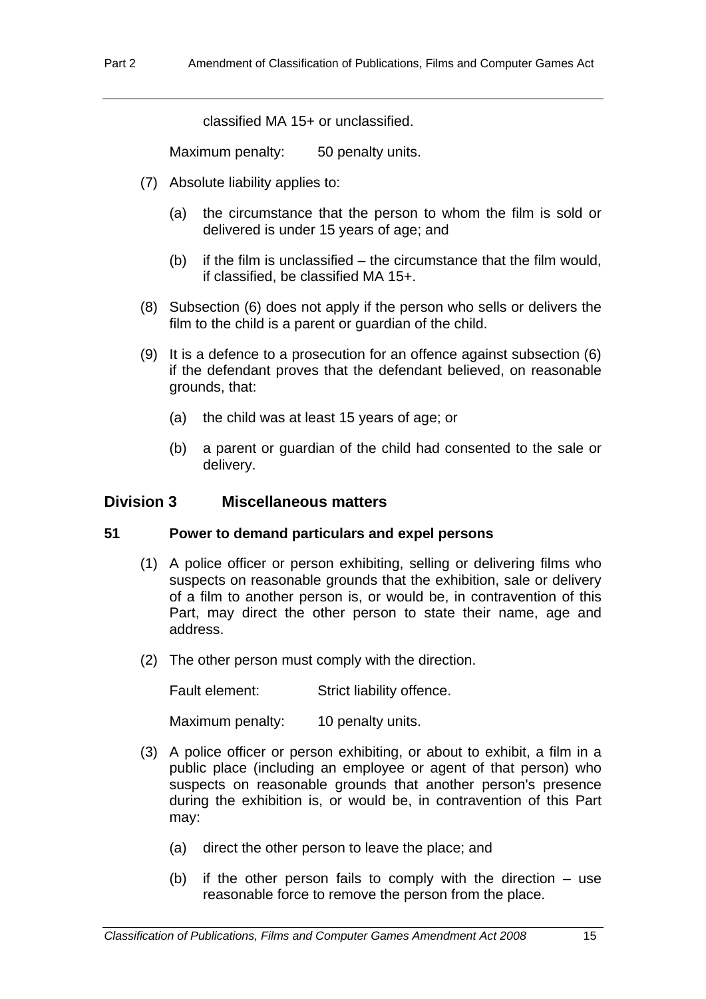classified MA 15+ or unclassified.

Maximum penalty: 50 penalty units.

- (7) Absolute liability applies to:
	- (a) the circumstance that the person to whom the film is sold or delivered is under 15 years of age; and
	- (b) if the film is unclassified the circumstance that the film would, if classified, be classified MA 15+.
- (8) Subsection (6) does not apply if the person who sells or delivers the film to the child is a parent or quardian of the child.
- (9) It is a defence to a prosecution for an offence against subsection (6) if the defendant proves that the defendant believed, on reasonable grounds, that:
	- (a) the child was at least 15 years of age; or
	- (b) a parent or guardian of the child had consented to the sale or delivery.

## **Division 3 Miscellaneous matters**

## **51 Power to demand particulars and expel persons**

- (1) A police officer or person exhibiting, selling or delivering films who suspects on reasonable grounds that the exhibition, sale or delivery of a film to another person is, or would be, in contravention of this Part, may direct the other person to state their name, age and address.
- (2) The other person must comply with the direction.

Fault element: Strict liability offence.

Maximum penalty: 10 penalty units.

- (3) A police officer or person exhibiting, or about to exhibit, a film in a public place (including an employee or agent of that person) who suspects on reasonable grounds that another person's presence during the exhibition is, or would be, in contravention of this Part may:
	- (a) direct the other person to leave the place; and
	- (b) if the other person fails to comply with the direction use reasonable force to remove the person from the place.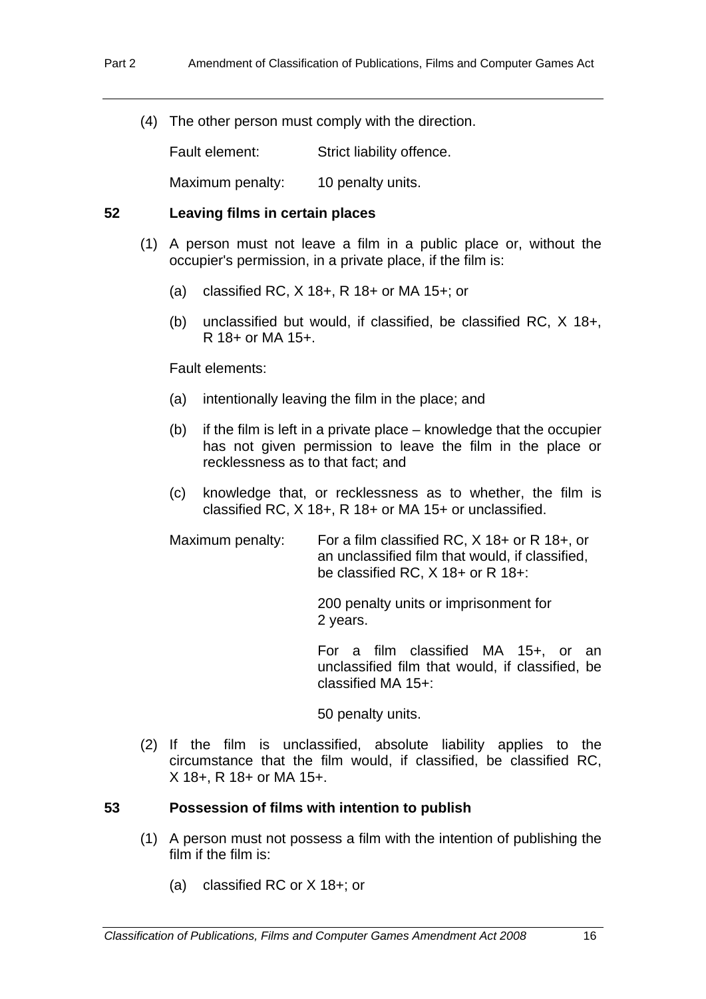(4) The other person must comply with the direction.

Fault element: Strict liability offence.

Maximum penalty: 10 penalty units.

#### **52 Leaving films in certain places**

- (1) A person must not leave a film in a public place or, without the occupier's permission, in a private place, if the film is:
	- (a) classified RC, X 18+, R 18+ or MA 15+; or
	- (b) unclassified but would, if classified, be classified RC, X 18+, R 18+ or MA 15+.

Fault elements:

- (a) intentionally leaving the film in the place; and
- (b) if the film is left in a private place knowledge that the occupier has not given permission to leave the film in the place or recklessness as to that fact; and
- (c) knowledge that, or recklessness as to whether, the film is classified RC, X 18+, R 18+ or MA 15+ or unclassified.

Maximum penalty: For a film classified RC, X 18+ or R 18+, or an unclassified film that would, if classified, be classified RC, X 18+ or R 18+:

> 200 penalty units or imprisonment for 2 years.

 For a film classified MA 15+, or an unclassified film that would, if classified, be classified MA 15+:

50 penalty units.

 (2) If the film is unclassified, absolute liability applies to the circumstance that the film would, if classified, be classified RC, X 18+, R 18+ or MA 15+.

## **53 Possession of films with intention to publish**

- (1) A person must not possess a film with the intention of publishing the film if the film is:
	- (a) classified RC or X 18+; or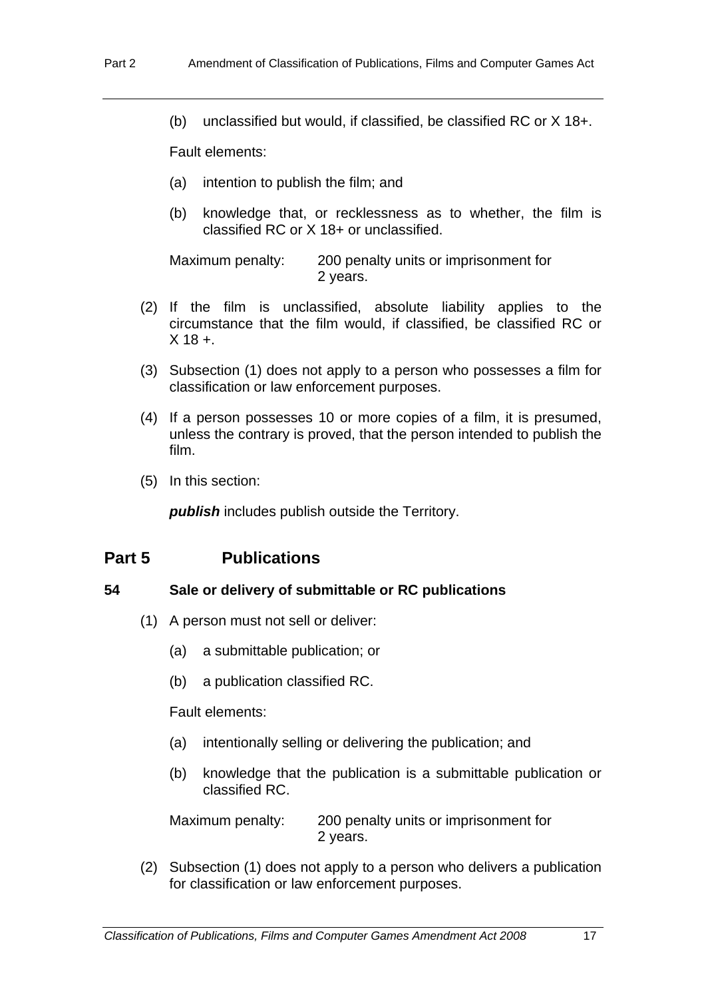(b) unclassified but would, if classified, be classified RC or X 18+.

Fault elements:

- (a) intention to publish the film; and
- (b) knowledge that, or recklessness as to whether, the film is classified RC or X 18+ or unclassified.

Maximum penalty: 200 penalty units or imprisonment for 2 years.

- (2) If the film is unclassified, absolute liability applies to the circumstance that the film would, if classified, be classified RC or  $X$  18 +
- (3) Subsection (1) does not apply to a person who possesses a film for classification or law enforcement purposes.
- (4) If a person possesses 10 or more copies of a film, it is presumed, unless the contrary is proved, that the person intended to publish the film.
- (5) In this section:

*publish* includes publish outside the Territory.

## **Part 5 Publications**

## **54 Sale or delivery of submittable or RC publications**

- (1) A person must not sell or deliver:
	- (a) a submittable publication; or
	- (b) a publication classified RC.

Fault elements:

- (a) intentionally selling or delivering the publication; and
- (b) knowledge that the publication is a submittable publication or classified RC.

Maximum penalty: 200 penalty units or imprisonment for 2 years.

 (2) Subsection (1) does not apply to a person who delivers a publication for classification or law enforcement purposes.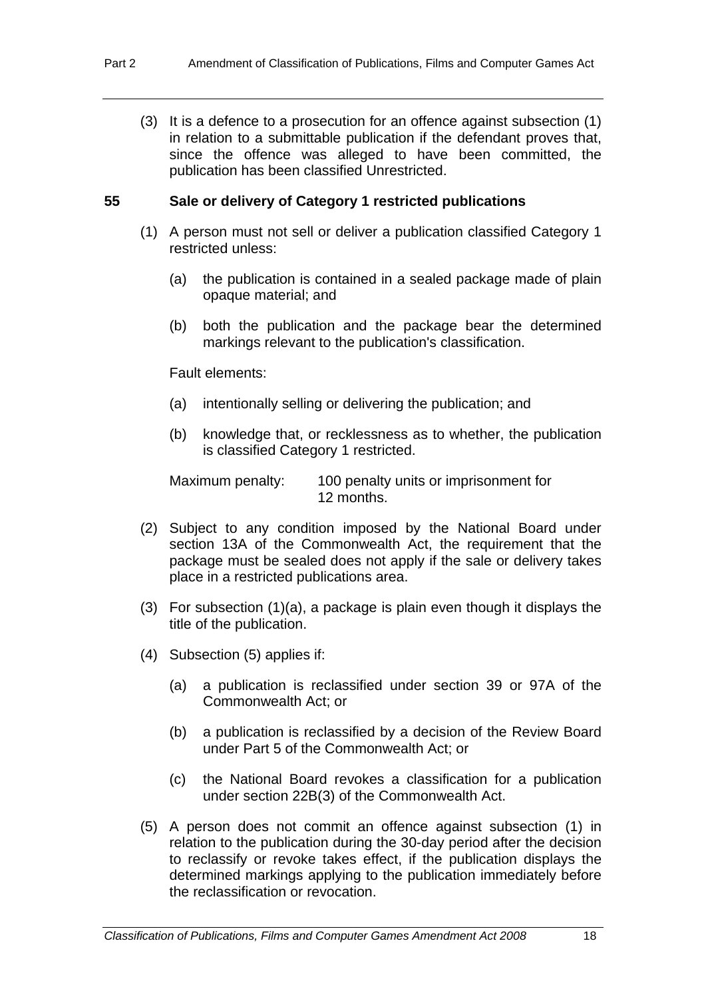(3) It is a defence to a prosecution for an offence against subsection (1) in relation to a submittable publication if the defendant proves that, since the offence was alleged to have been committed, the publication has been classified Unrestricted.

## **55 Sale or delivery of Category 1 restricted publications**

- (1) A person must not sell or deliver a publication classified Category 1 restricted unless:
	- (a) the publication is contained in a sealed package made of plain opaque material; and
	- (b) both the publication and the package bear the determined markings relevant to the publication's classification.

Fault elements:

- (a) intentionally selling or delivering the publication; and
- (b) knowledge that, or recklessness as to whether, the publication is classified Category 1 restricted.

Maximum penalty: 100 penalty units or imprisonment for 12 months.

- (2) Subject to any condition imposed by the National Board under section 13A of the Commonwealth Act, the requirement that the package must be sealed does not apply if the sale or delivery takes place in a restricted publications area.
- (3) For subsection (1)(a), a package is plain even though it displays the title of the publication.
- (4) Subsection (5) applies if:
	- (a) a publication is reclassified under section 39 or 97A of the Commonwealth Act; or
	- (b) a publication is reclassified by a decision of the Review Board under Part 5 of the Commonwealth Act; or
	- (c) the National Board revokes a classification for a publication under section 22B(3) of the Commonwealth Act.
- (5) A person does not commit an offence against subsection (1) in relation to the publication during the 30-day period after the decision to reclassify or revoke takes effect, if the publication displays the determined markings applying to the publication immediately before the reclassification or revocation.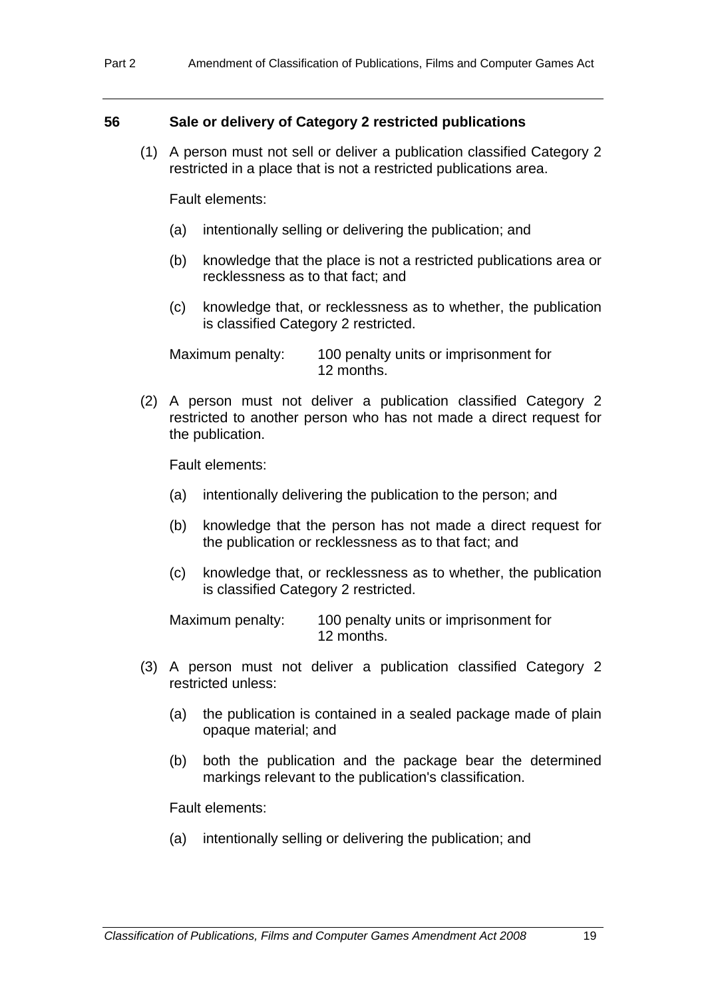#### **56 Sale or delivery of Category 2 restricted publications**

 (1) A person must not sell or deliver a publication classified Category 2 restricted in a place that is not a restricted publications area.

Fault elements:

- (a) intentionally selling or delivering the publication; and
- (b) knowledge that the place is not a restricted publications area or recklessness as to that fact; and
- (c) knowledge that, or recklessness as to whether, the publication is classified Category 2 restricted.

Maximum penalty: 100 penalty units or imprisonment for 12 months.

 (2) A person must not deliver a publication classified Category 2 restricted to another person who has not made a direct request for the publication.

Fault elements:

- (a) intentionally delivering the publication to the person; and
- (b) knowledge that the person has not made a direct request for the publication or recklessness as to that fact; and
- (c) knowledge that, or recklessness as to whether, the publication is classified Category 2 restricted.

Maximum penalty: 100 penalty units or imprisonment for 12 months.

- (3) A person must not deliver a publication classified Category 2 restricted unless:
	- (a) the publication is contained in a sealed package made of plain opaque material; and
	- (b) both the publication and the package bear the determined markings relevant to the publication's classification.

Fault elements:

(a) intentionally selling or delivering the publication; and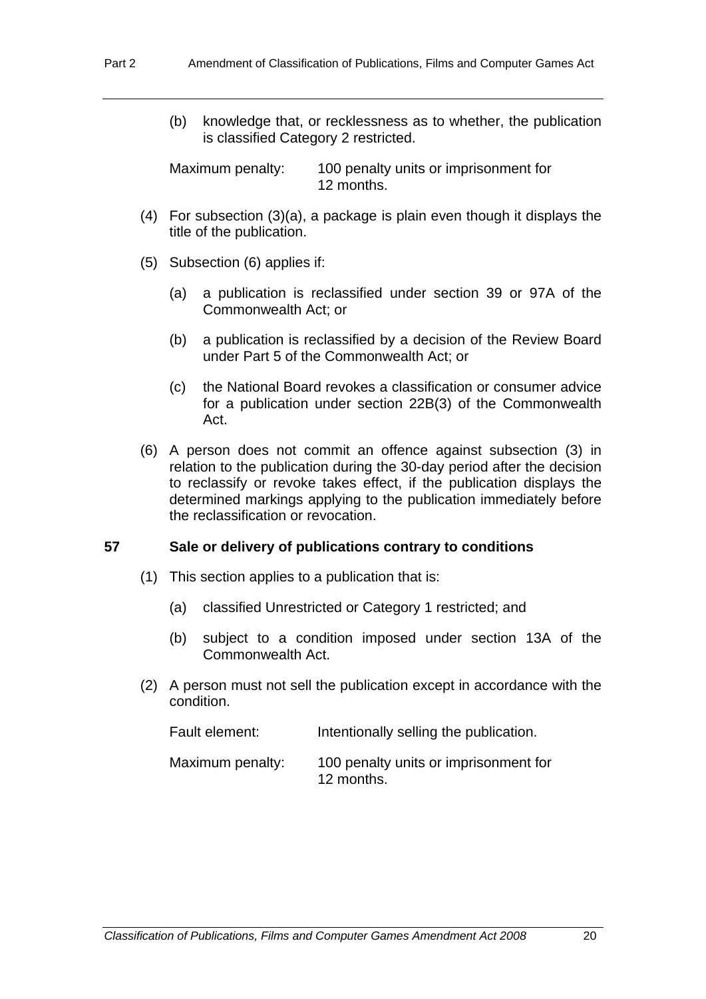(b) knowledge that, or recklessness as to whether, the publication is classified Category 2 restricted.

Maximum penalty: 100 penalty units or imprisonment for 12 months.

- (4) For subsection (3)(a), a package is plain even though it displays the title of the publication.
- (5) Subsection (6) applies if:
	- (a) a publication is reclassified under section 39 or 97A of the Commonwealth Act; or
	- (b) a publication is reclassified by a decision of the Review Board under Part 5 of the Commonwealth Act; or
	- (c) the National Board revokes a classification or consumer advice for a publication under section 22B(3) of the Commonwealth Act.
- (6) A person does not commit an offence against subsection (3) in relation to the publication during the 30-day period after the decision to reclassify or revoke takes effect, if the publication displays the determined markings applying to the publication immediately before the reclassification or revocation.

#### **57 Sale or delivery of publications contrary to conditions**

- (1) This section applies to a publication that is:
	- (a) classified Unrestricted or Category 1 restricted; and
	- (b) subject to a condition imposed under section 13A of the Commonwealth Act.
- (2) A person must not sell the publication except in accordance with the condition.

| Fault element:   | Intentionally selling the publication.              |  |
|------------------|-----------------------------------------------------|--|
| Maximum penalty: | 100 penalty units or imprisonment for<br>12 months. |  |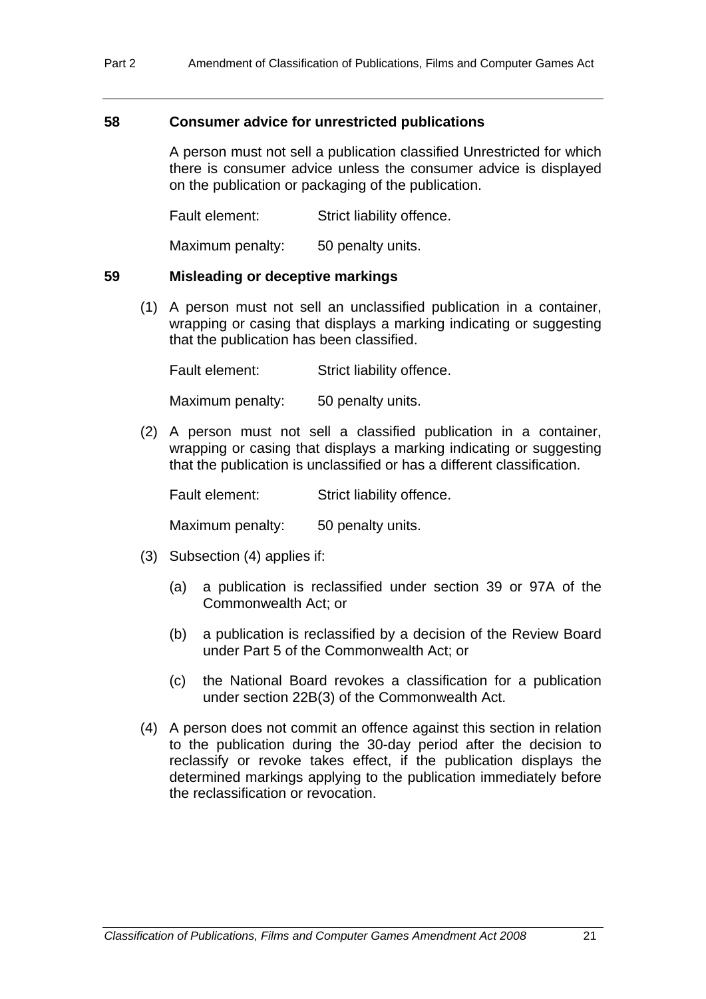#### **58 Consumer advice for unrestricted publications**

A person must not sell a publication classified Unrestricted for which there is consumer advice unless the consumer advice is displayed on the publication or packaging of the publication.

Fault element: Strict liability offence.

Maximum penalty: 50 penalty units.

#### **59 Misleading or deceptive markings**

 (1) A person must not sell an unclassified publication in a container, wrapping or casing that displays a marking indicating or suggesting that the publication has been classified.

Fault element: Strict liability offence.

Maximum penalty: 50 penalty units.

 (2) A person must not sell a classified publication in a container, wrapping or casing that displays a marking indicating or suggesting that the publication is unclassified or has a different classification.

Fault element: Strict liability offence.

Maximum penalty: 50 penalty units.

- (3) Subsection (4) applies if:
	- (a) a publication is reclassified under section 39 or 97A of the Commonwealth Act; or
	- (b) a publication is reclassified by a decision of the Review Board under Part 5 of the Commonwealth Act; or
	- (c) the National Board revokes a classification for a publication under section 22B(3) of the Commonwealth Act.
- (4) A person does not commit an offence against this section in relation to the publication during the 30-day period after the decision to reclassify or revoke takes effect, if the publication displays the determined markings applying to the publication immediately before the reclassification or revocation.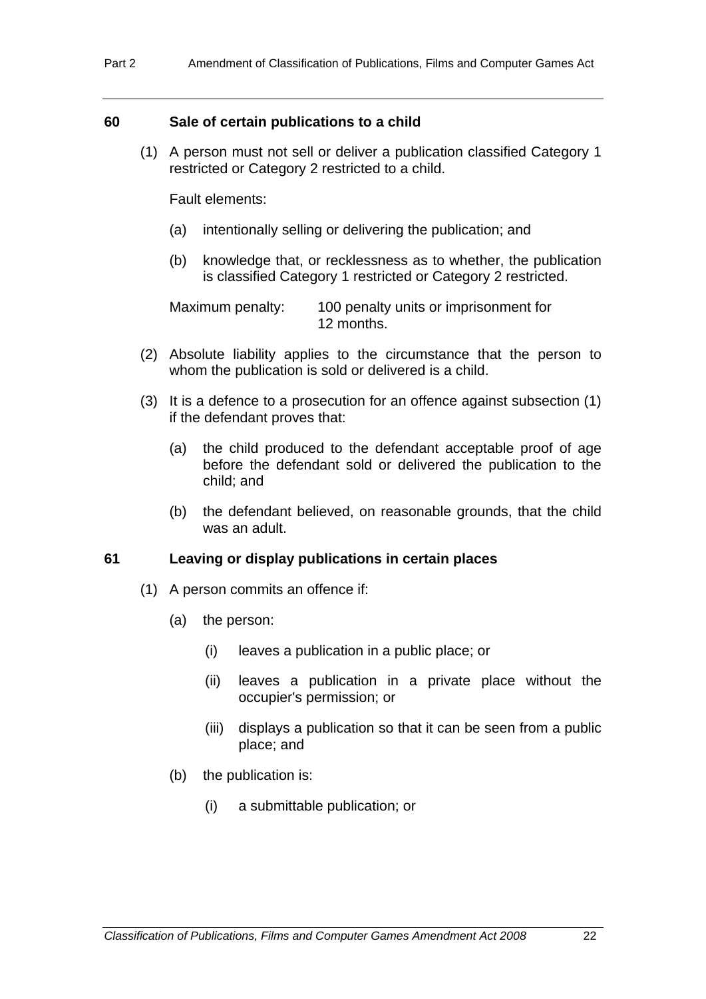#### **60 Sale of certain publications to a child**

 (1) A person must not sell or deliver a publication classified Category 1 restricted or Category 2 restricted to a child.

Fault elements:

- (a) intentionally selling or delivering the publication; and
- (b) knowledge that, or recklessness as to whether, the publication is classified Category 1 restricted or Category 2 restricted.

Maximum penalty: 100 penalty units or imprisonment for 12 months.

- (2) Absolute liability applies to the circumstance that the person to whom the publication is sold or delivered is a child.
- (3) It is a defence to a prosecution for an offence against subsection (1) if the defendant proves that:
	- (a) the child produced to the defendant acceptable proof of age before the defendant sold or delivered the publication to the child; and
	- (b) the defendant believed, on reasonable grounds, that the child was an adult.

#### **61 Leaving or display publications in certain places**

- (1) A person commits an offence if:
	- (a) the person:
		- (i) leaves a publication in a public place; or
		- (ii) leaves a publication in a private place without the occupier's permission; or
		- (iii) displays a publication so that it can be seen from a public place; and
	- (b) the publication is:
		- (i) a submittable publication; or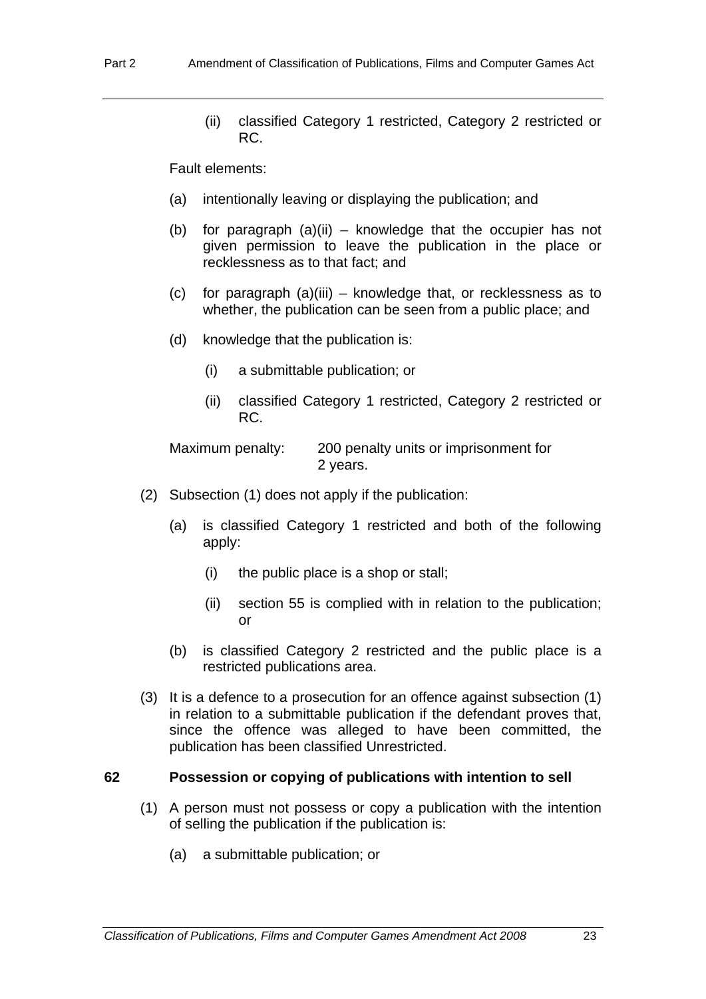(ii) classified Category 1 restricted, Category 2 restricted or RC.

Fault elements:

- (a) intentionally leaving or displaying the publication; and
- (b) for paragraph (a)(ii) knowledge that the occupier has not given permission to leave the publication in the place or recklessness as to that fact; and
- (c) for paragraph (a)(iii) knowledge that, or recklessness as to whether, the publication can be seen from a public place; and
- (d) knowledge that the publication is:
	- (i) a submittable publication; or
	- (ii) classified Category 1 restricted, Category 2 restricted or RC.

Maximum penalty: 200 penalty units or imprisonment for 2 years.

- (2) Subsection (1) does not apply if the publication:
	- (a) is classified Category 1 restricted and both of the following apply:
		- (i) the public place is a shop or stall;
		- (ii) section 55 is complied with in relation to the publication; or
	- (b) is classified Category 2 restricted and the public place is a restricted publications area.
- (3) It is a defence to a prosecution for an offence against subsection (1) in relation to a submittable publication if the defendant proves that, since the offence was alleged to have been committed, the publication has been classified Unrestricted.

#### **62 Possession or copying of publications with intention to sell**

- (1) A person must not possess or copy a publication with the intention of selling the publication if the publication is:
	- (a) a submittable publication; or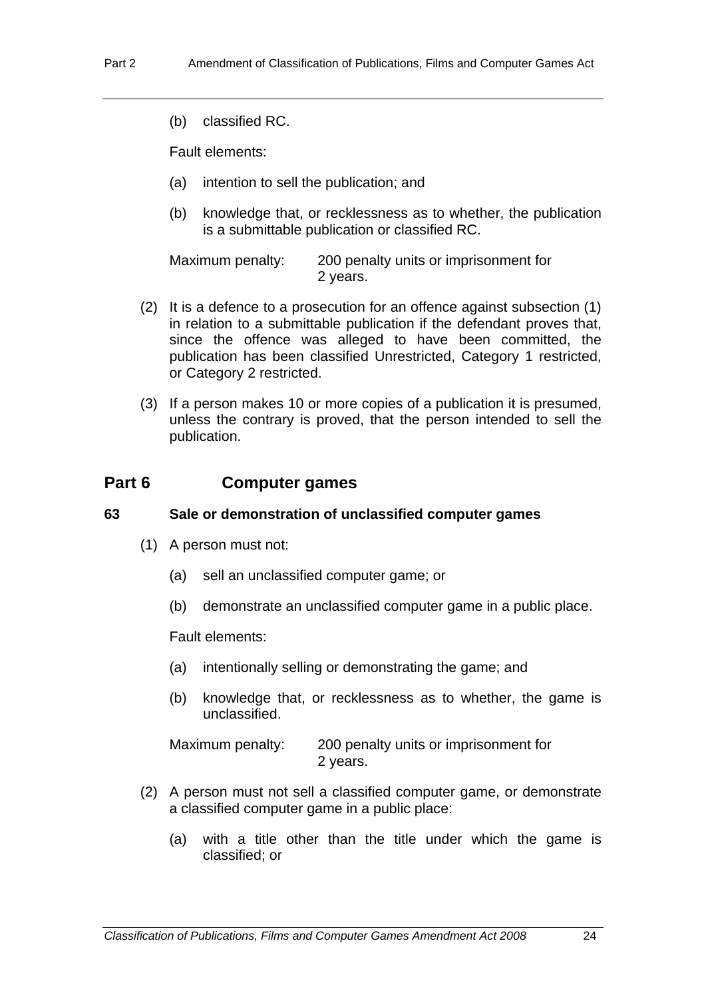(b) classified RC.

Fault elements:

- (a) intention to sell the publication; and
- (b) knowledge that, or recklessness as to whether, the publication is a submittable publication or classified RC.

Maximum penalty: 200 penalty units or imprisonment for 2 years.

- (2) It is a defence to a prosecution for an offence against subsection (1) in relation to a submittable publication if the defendant proves that, since the offence was alleged to have been committed, the publication has been classified Unrestricted, Category 1 restricted, or Category 2 restricted.
- (3) If a person makes 10 or more copies of a publication it is presumed, unless the contrary is proved, that the person intended to sell the publication.

## **Part 6 Computer games**

## **63 Sale or demonstration of unclassified computer games**

- (1) A person must not:
	- (a) sell an unclassified computer game; or
	- (b) demonstrate an unclassified computer game in a public place.

Fault elements:

- (a) intentionally selling or demonstrating the game; and
- (b) knowledge that, or recklessness as to whether, the game is unclassified.

Maximum penalty: 200 penalty units or imprisonment for 2 years.

- (2) A person must not sell a classified computer game, or demonstrate a classified computer game in a public place:
	- (a) with a title other than the title under which the game is classified; or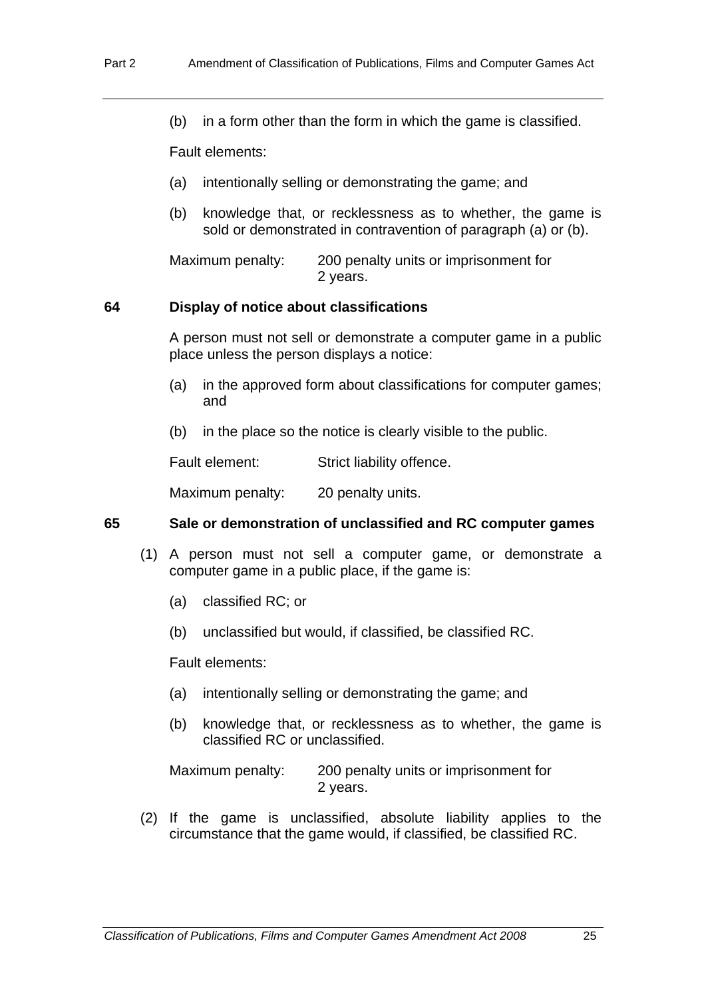(b) in a form other than the form in which the game is classified.

Fault elements:

- (a) intentionally selling or demonstrating the game; and
- (b) knowledge that, or recklessness as to whether, the game is sold or demonstrated in contravention of paragraph (a) or (b).

Maximum penalty: 200 penalty units or imprisonment for 2 years.

#### **64 Display of notice about classifications**

A person must not sell or demonstrate a computer game in a public place unless the person displays a notice:

- (a) in the approved form about classifications for computer games; and
- (b) in the place so the notice is clearly visible to the public.

Fault element: Strict liability offence.

Maximum penalty: 20 penalty units.

## **65 Sale or demonstration of unclassified and RC computer games**

- (1) A person must not sell a computer game, or demonstrate a computer game in a public place, if the game is:
	- (a) classified RC; or
	- (b) unclassified but would, if classified, be classified RC.

Fault elements:

- (a) intentionally selling or demonstrating the game; and
- (b) knowledge that, or recklessness as to whether, the game is classified RC or unclassified.

Maximum penalty: 200 penalty units or imprisonment for 2 years.

 (2) If the game is unclassified, absolute liability applies to the circumstance that the game would, if classified, be classified RC.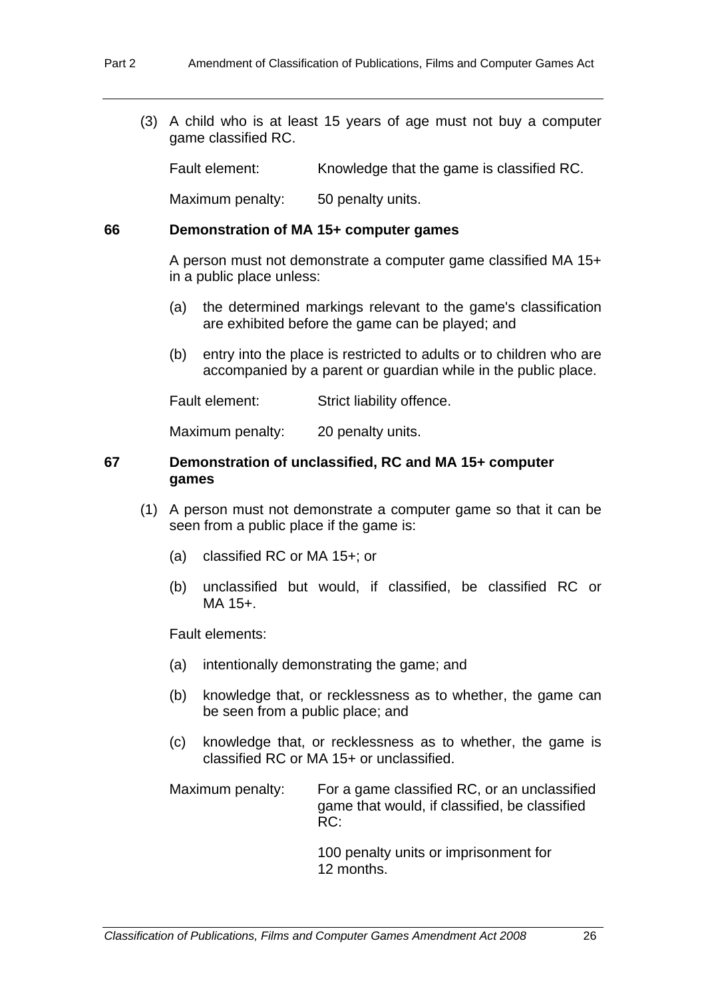(3) A child who is at least 15 years of age must not buy a computer game classified RC.

Fault element: Knowledge that the game is classified RC.

Maximum penalty: 50 penalty units.

#### **66 Demonstration of MA 15+ computer games**

A person must not demonstrate a computer game classified MA 15+ in a public place unless:

- (a) the determined markings relevant to the game's classification are exhibited before the game can be played; and
- (b) entry into the place is restricted to adults or to children who are accompanied by a parent or guardian while in the public place.

Fault element: Strict liability offence.

Maximum penalty: 20 penalty units.

#### **67 Demonstration of unclassified, RC and MA 15+ computer games**

- (1) A person must not demonstrate a computer game so that it can be seen from a public place if the game is:
	- (a) classified RC or MA 15+; or
	- (b) unclassified but would, if classified, be classified RC or MA 15+.

Fault elements:

- (a) intentionally demonstrating the game; and
- (b) knowledge that, or recklessness as to whether, the game can be seen from a public place; and
- (c) knowledge that, or recklessness as to whether, the game is classified RC or MA 15+ or unclassified.

Maximum penalty: For a game classified RC, or an unclassified game that would, if classified, be classified RC:

> 100 penalty units or imprisonment for 12 months.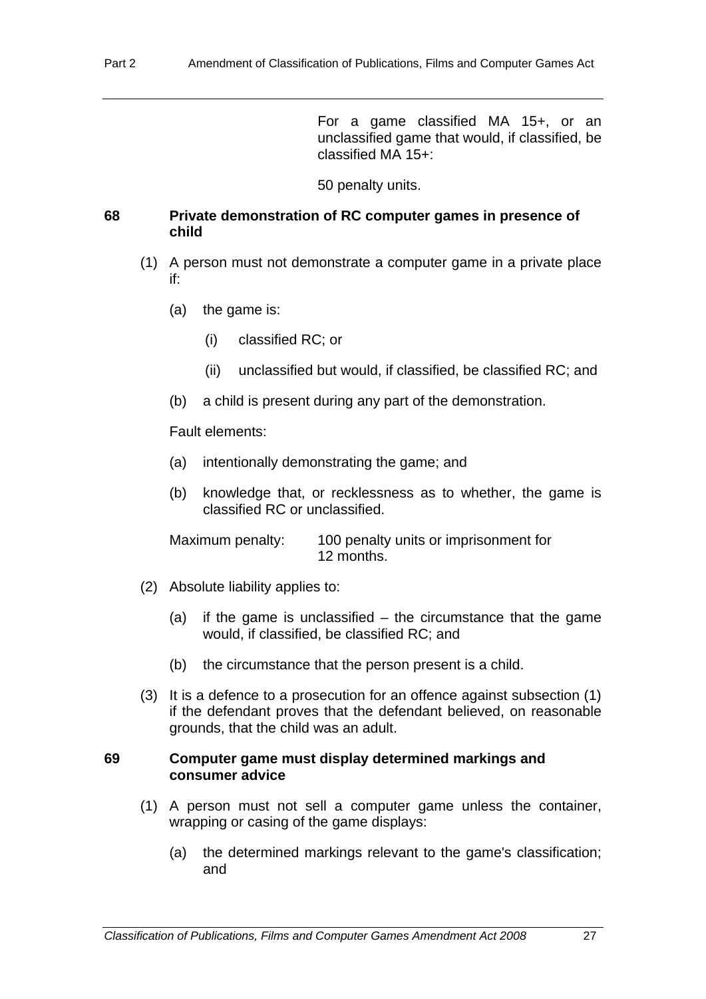For a game classified MA 15+, or an unclassified game that would, if classified, be classified MA 15+:

50 penalty units.

#### **68 Private demonstration of RC computer games in presence of child**

- (1) A person must not demonstrate a computer game in a private place if:
	- (a) the game is:
		- (i) classified RC; or
		- (ii) unclassified but would, if classified, be classified RC; and
	- (b) a child is present during any part of the demonstration.

Fault elements:

- (a) intentionally demonstrating the game; and
- (b) knowledge that, or recklessness as to whether, the game is classified RC or unclassified.

Maximum penalty: 100 penalty units or imprisonment for 12 months.

- (2) Absolute liability applies to:
	- (a) if the game is unclassified  $-$  the circumstance that the game would, if classified, be classified RC; and
	- (b) the circumstance that the person present is a child.
- (3) It is a defence to a prosecution for an offence against subsection (1) if the defendant proves that the defendant believed, on reasonable grounds, that the child was an adult.

### **69 Computer game must display determined markings and consumer advice**

- (1) A person must not sell a computer game unless the container, wrapping or casing of the game displays:
	- (a) the determined markings relevant to the game's classification; and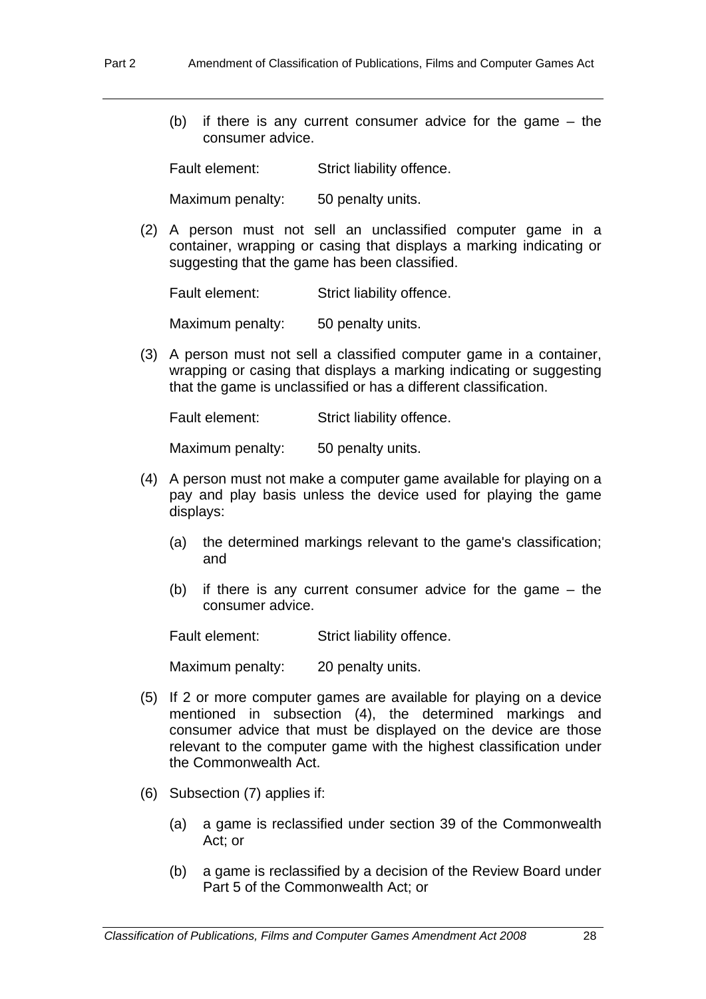(b) if there is any current consumer advice for the game – the consumer advice.

Fault element: Strict liability offence.

Maximum penalty: 50 penalty units.

 (2) A person must not sell an unclassified computer game in a container, wrapping or casing that displays a marking indicating or suggesting that the game has been classified.

Fault element: Strict liability offence.

Maximum penalty: 50 penalty units.

 (3) A person must not sell a classified computer game in a container, wrapping or casing that displays a marking indicating or suggesting that the game is unclassified or has a different classification.

Fault element: Strict liability offence.

Maximum penalty: 50 penalty units.

- (4) A person must not make a computer game available for playing on a pay and play basis unless the device used for playing the game displays:
	- (a) the determined markings relevant to the game's classification; and
	- (b) if there is any current consumer advice for the game the consumer advice.

Fault element: Strict liability offence.

Maximum penalty: 20 penalty units.

- (5) If 2 or more computer games are available for playing on a device mentioned in subsection (4), the determined markings and consumer advice that must be displayed on the device are those relevant to the computer game with the highest classification under the Commonwealth Act.
- (6) Subsection (7) applies if:
	- (a) a game is reclassified under section 39 of the Commonwealth Act; or
	- (b) a game is reclassified by a decision of the Review Board under Part 5 of the Commonwealth Act; or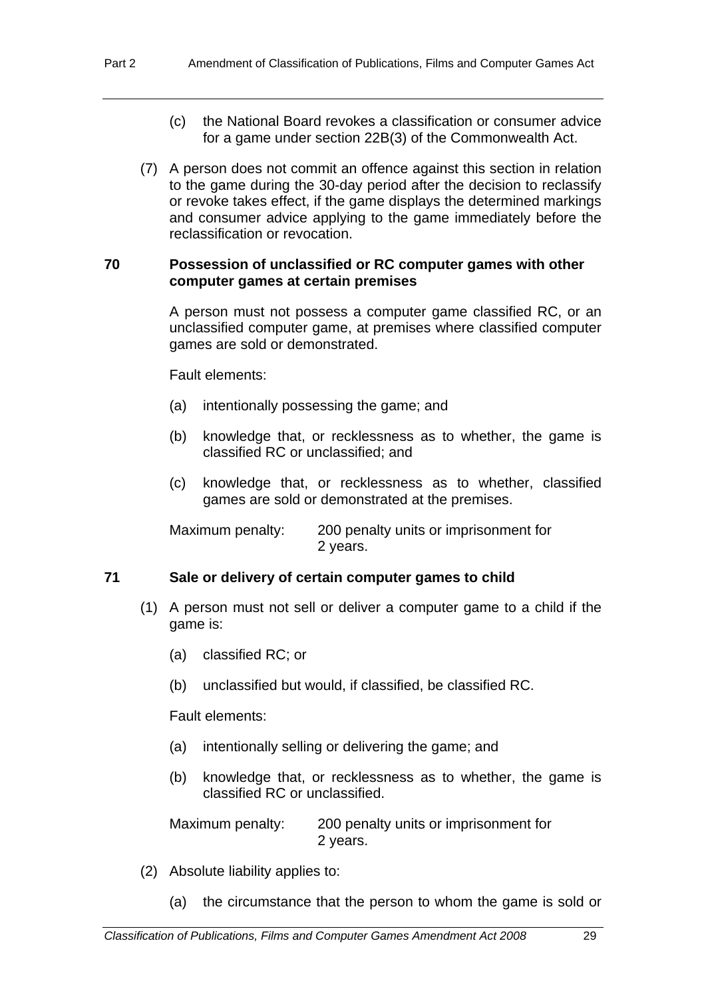- (c) the National Board revokes a classification or consumer advice for a game under section 22B(3) of the Commonwealth Act.
- (7) A person does not commit an offence against this section in relation to the game during the 30-day period after the decision to reclassify or revoke takes effect, if the game displays the determined markings and consumer advice applying to the game immediately before the reclassification or revocation.

#### **70 Possession of unclassified or RC computer games with other computer games at certain premises**

A person must not possess a computer game classified RC, or an unclassified computer game, at premises where classified computer games are sold or demonstrated.

Fault elements:

- (a) intentionally possessing the game; and
- (b) knowledge that, or recklessness as to whether, the game is classified RC or unclassified; and
- (c) knowledge that, or recklessness as to whether, classified games are sold or demonstrated at the premises.

Maximum penalty: 200 penalty units or imprisonment for 2 years.

#### **71 Sale or delivery of certain computer games to child**

- (1) A person must not sell or deliver a computer game to a child if the game is:
	- (a) classified RC; or
	- (b) unclassified but would, if classified, be classified RC.

Fault elements:

- (a) intentionally selling or delivering the game; and
- (b) knowledge that, or recklessness as to whether, the game is classified RC or unclassified.

Maximum penalty: 200 penalty units or imprisonment for 2 years.

- (2) Absolute liability applies to:
	- (a) the circumstance that the person to whom the game is sold or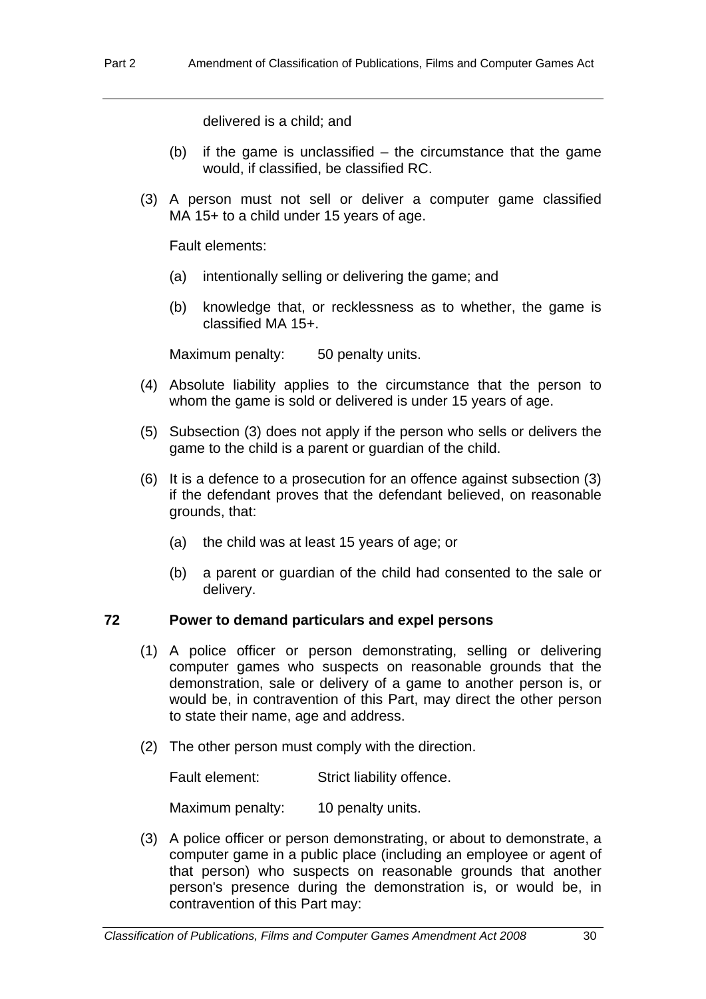delivered is a child; and

- (b) if the game is unclassified  $-$  the circumstance that the game would, if classified, be classified RC.
- (3) A person must not sell or deliver a computer game classified MA 15+ to a child under 15 years of age.

Fault elements:

- (a) intentionally selling or delivering the game; and
- (b) knowledge that, or recklessness as to whether, the game is classified MA 15+.

Maximum penalty: 50 penalty units.

- (4) Absolute liability applies to the circumstance that the person to whom the game is sold or delivered is under 15 years of age.
- (5) Subsection (3) does not apply if the person who sells or delivers the game to the child is a parent or guardian of the child.
- (6) It is a defence to a prosecution for an offence against subsection (3) if the defendant proves that the defendant believed, on reasonable grounds, that:
	- (a) the child was at least 15 years of age; or
	- (b) a parent or guardian of the child had consented to the sale or delivery.

### **72 Power to demand particulars and expel persons**

- (1) A police officer or person demonstrating, selling or delivering computer games who suspects on reasonable grounds that the demonstration, sale or delivery of a game to another person is, or would be, in contravention of this Part, may direct the other person to state their name, age and address.
- (2) The other person must comply with the direction.

Fault element: Strict liability offence.

Maximum penalty: 10 penalty units.

 (3) A police officer or person demonstrating, or about to demonstrate, a computer game in a public place (including an employee or agent of that person) who suspects on reasonable grounds that another person's presence during the demonstration is, or would be, in contravention of this Part may: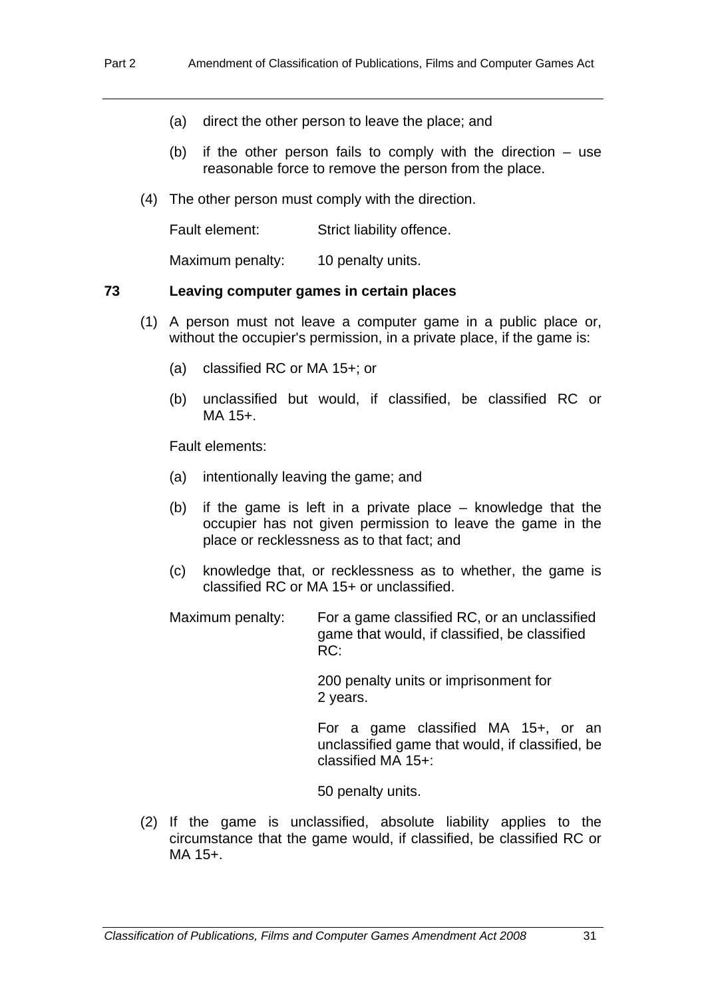- (a) direct the other person to leave the place; and
- (b) if the other person fails to comply with the direction  $-$  use reasonable force to remove the person from the place.
- (4) The other person must comply with the direction.

Fault element: Strict liability offence.

Maximum penalty: 10 penalty units.

#### **73 Leaving computer games in certain places**

- (1) A person must not leave a computer game in a public place or, without the occupier's permission, in a private place, if the game is:
	- (a) classified RC or MA 15+; or
	- (b) unclassified but would, if classified, be classified RC or MA 15+.

Fault elements:

- (a) intentionally leaving the game; and
- (b) if the game is left in a private place knowledge that the occupier has not given permission to leave the game in the place or recklessness as to that fact; and
- (c) knowledge that, or recklessness as to whether, the game is classified RC or MA 15+ or unclassified.
- Maximum penalty: For a game classified RC, or an unclassified game that would, if classified, be classified RC:

 200 penalty units or imprisonment for 2 years.

 For a game classified MA 15+, or an unclassified game that would, if classified, be classified MA 15+:

50 penalty units.

 (2) If the game is unclassified, absolute liability applies to the circumstance that the game would, if classified, be classified RC or MA 15+.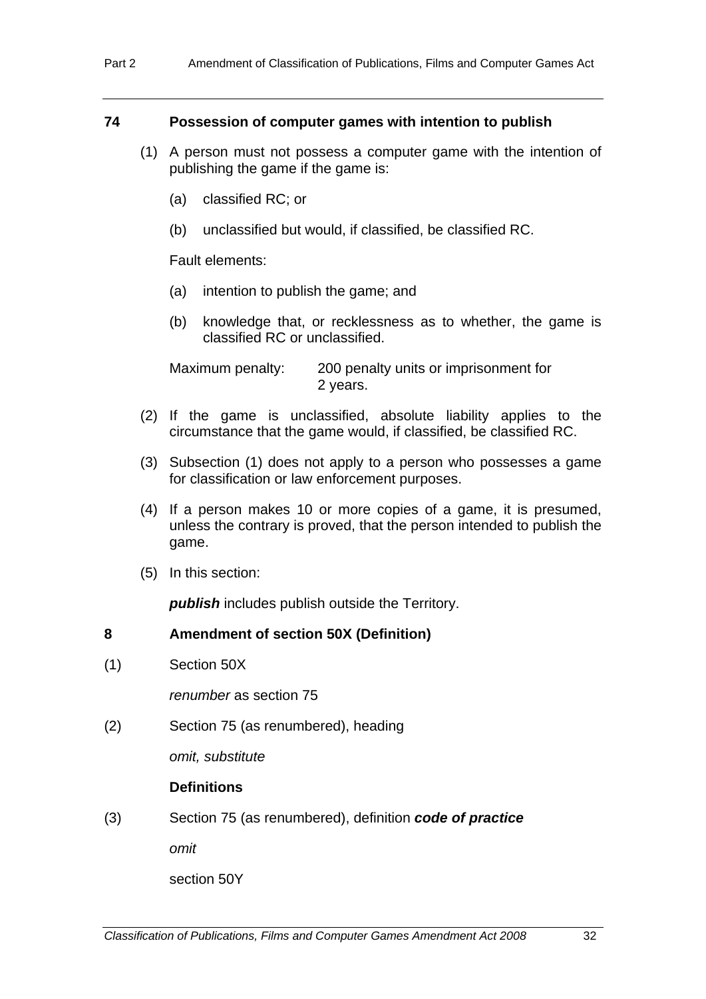#### **74 Possession of computer games with intention to publish**

- (1) A person must not possess a computer game with the intention of publishing the game if the game is:
	- (a) classified RC; or
	- (b) unclassified but would, if classified, be classified RC.

Fault elements:

- (a) intention to publish the game; and
- (b) knowledge that, or recklessness as to whether, the game is classified RC or unclassified.

Maximum penalty: 200 penalty units or imprisonment for 2 years.

- (2) If the game is unclassified, absolute liability applies to the circumstance that the game would, if classified, be classified RC.
- (3) Subsection (1) does not apply to a person who possesses a game for classification or law enforcement purposes.
- (4) If a person makes 10 or more copies of a game, it is presumed, unless the contrary is proved, that the person intended to publish the game.
- (5) In this section:

*publish* includes publish outside the Territory.

## **8 Amendment of section 50X (Definition)**

(1) Section 50X

*renumber* as section 75

(2) Section 75 (as renumbered), heading

*omit, substitute* 

## **Definitions**

(3) Section 75 (as renumbered), definition *code of practice* 

*omit* 

section 50Y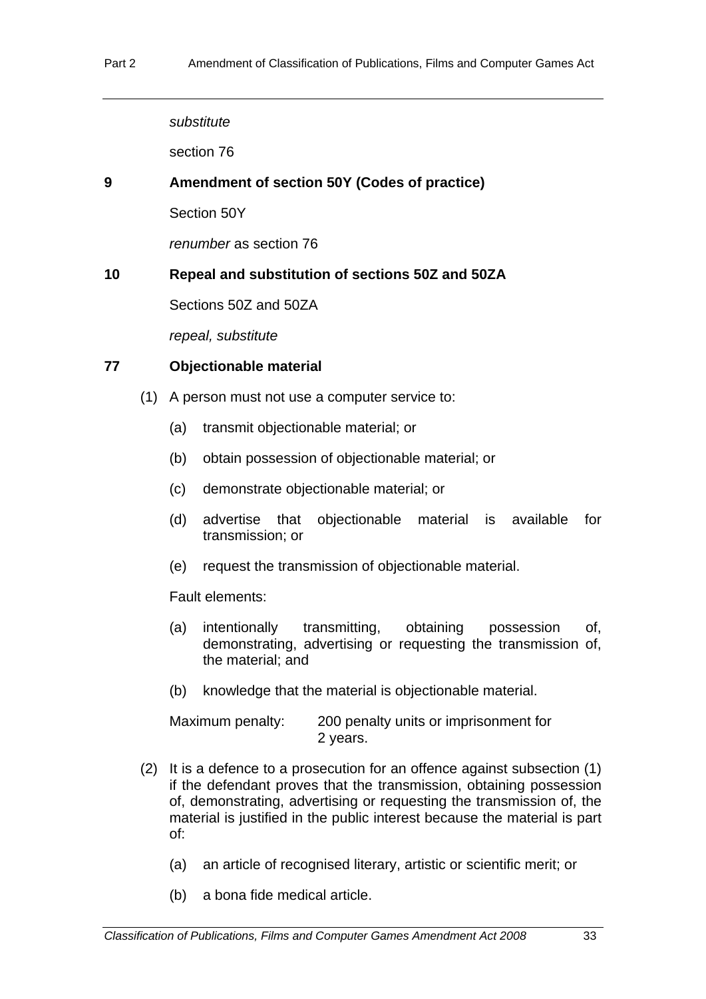*substitute* 

section 76

### **9 Amendment of section 50Y (Codes of practice)**

Section 50Y

*renumber* as section 76

## **10 Repeal and substitution of sections 50Z and 50ZA**

Sections 50Z and 50ZA

*repeal, substitute* 

#### **77 Objectionable material**

- (1) A person must not use a computer service to:
	- (a) transmit objectionable material; or
	- (b) obtain possession of objectionable material; or
	- (c) demonstrate objectionable material; or
	- (d) advertise that objectionable material is available for transmission; or
	- (e) request the transmission of objectionable material.

Fault elements:

- (a) intentionally transmitting, obtaining possession of, demonstrating, advertising or requesting the transmission of, the material; and
- (b) knowledge that the material is objectionable material.

| Maximum penalty: | 200 penalty units or imprisonment for |  |
|------------------|---------------------------------------|--|
|                  | 2 years.                              |  |

- (2) It is a defence to a prosecution for an offence against subsection (1) if the defendant proves that the transmission, obtaining possession of, demonstrating, advertising or requesting the transmission of, the material is justified in the public interest because the material is part of:
	- (a) an article of recognised literary, artistic or scientific merit; or
	- (b) a bona fide medical article.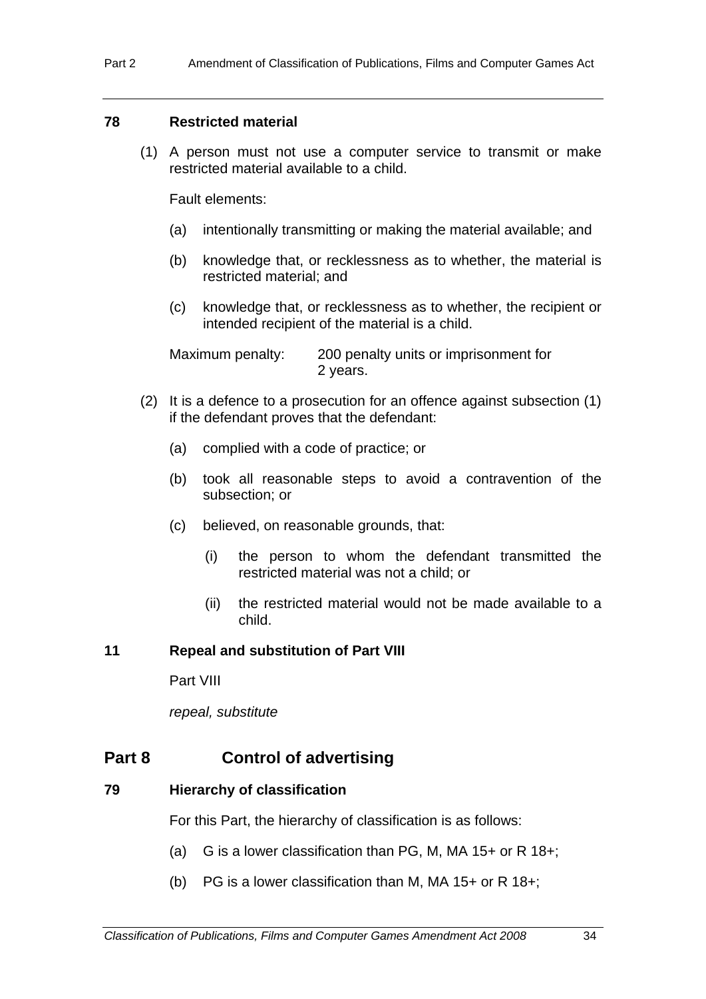### **78 Restricted material**

 (1) A person must not use a computer service to transmit or make restricted material available to a child.

Fault elements:

- (a) intentionally transmitting or making the material available; and
- (b) knowledge that, or recklessness as to whether, the material is restricted material; and
- (c) knowledge that, or recklessness as to whether, the recipient or intended recipient of the material is a child.

Maximum penalty: 200 penalty units or imprisonment for 2 years.

- (2) It is a defence to a prosecution for an offence against subsection (1) if the defendant proves that the defendant:
	- (a) complied with a code of practice; or
	- (b) took all reasonable steps to avoid a contravention of the subsection; or
	- (c) believed, on reasonable grounds, that:
		- (i) the person to whom the defendant transmitted the restricted material was not a child; or
		- (ii) the restricted material would not be made available to a child.

#### **11 Repeal and substitution of Part VIII**

Part VIII

*repeal, substitute* 

## **Part 8 Control of advertising**

## **79 Hierarchy of classification**

For this Part, the hierarchy of classification is as follows:

- (a) G is a lower classification than PG, M, MA 15+ or R 18+;
- (b) PG is a lower classification than M, MA  $15+$  or R  $18+$ ;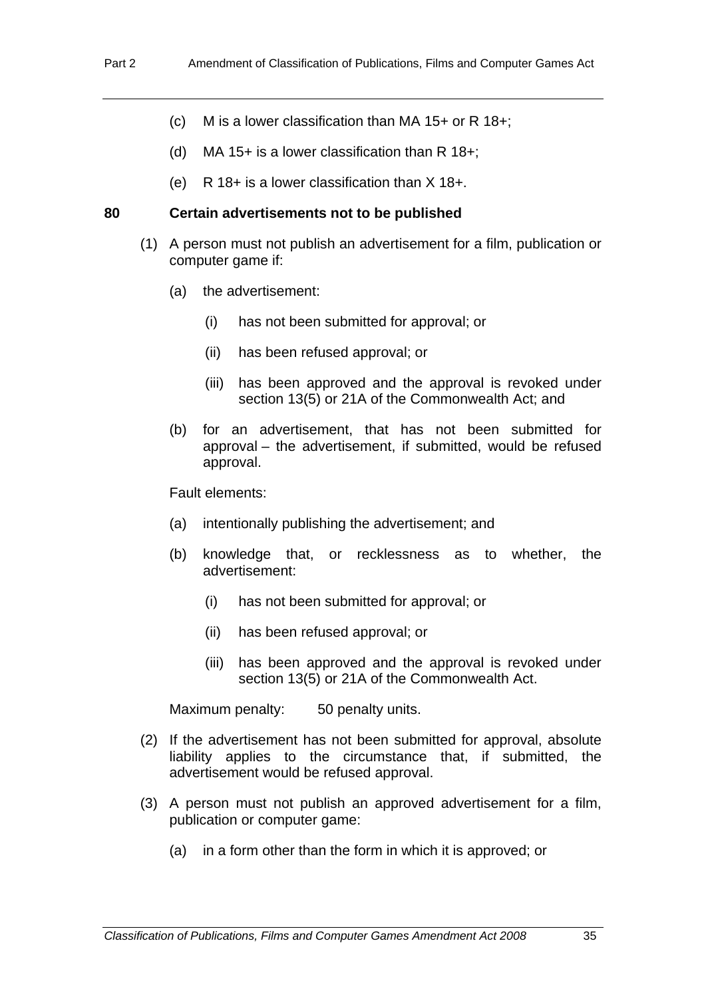- (c) M is a lower classification than MA 15+ or R 18+;
- (d) MA 15+ is a lower classification than  $R$  18+:
- $(e)$  R 18+ is a lower classification than  $X$  18+.

#### **80 Certain advertisements not to be published**

- (1) A person must not publish an advertisement for a film, publication or computer game if:
	- (a) the advertisement:
		- (i) has not been submitted for approval; or
		- (ii) has been refused approval; or
		- (iii) has been approved and the approval is revoked under section 13(5) or 21A of the Commonwealth Act; and
	- (b) for an advertisement, that has not been submitted for approval – the advertisement, if submitted, would be refused approval.

Fault elements:

- (a) intentionally publishing the advertisement; and
- (b) knowledge that, or recklessness as to whether, the advertisement:
	- (i) has not been submitted for approval; or
	- (ii) has been refused approval; or
	- (iii) has been approved and the approval is revoked under section 13(5) or 21A of the Commonwealth Act.

Maximum penalty: 50 penalty units.

- (2) If the advertisement has not been submitted for approval, absolute liability applies to the circumstance that, if submitted, the advertisement would be refused approval.
- (3) A person must not publish an approved advertisement for a film, publication or computer game:
	- (a) in a form other than the form in which it is approved; or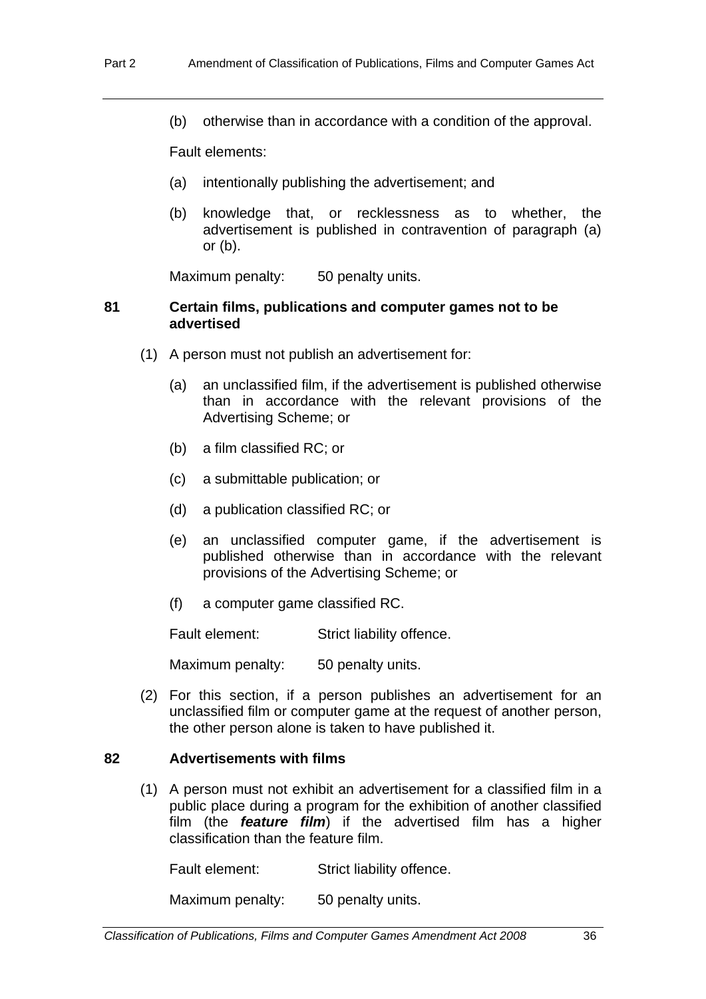(b) otherwise than in accordance with a condition of the approval.

Fault elements:

- (a) intentionally publishing the advertisement; and
- (b) knowledge that, or recklessness as to whether, the advertisement is published in contravention of paragraph (a) or  $(b)$ .

Maximum penalty: 50 penalty units.

#### **81 Certain films, publications and computer games not to be advertised**

- (1) A person must not publish an advertisement for:
	- (a) an unclassified film, if the advertisement is published otherwise than in accordance with the relevant provisions of the Advertising Scheme; or
	- (b) a film classified RC; or
	- (c) a submittable publication; or
	- (d) a publication classified RC; or
	- (e) an unclassified computer game, if the advertisement is published otherwise than in accordance with the relevant provisions of the Advertising Scheme; or
	- (f) a computer game classified RC.

Fault element: Strict liability offence.

Maximum penalty: 50 penalty units.

 (2) For this section, if a person publishes an advertisement for an unclassified film or computer game at the request of another person, the other person alone is taken to have published it.

## **82 Advertisements with films**

 (1) A person must not exhibit an advertisement for a classified film in a public place during a program for the exhibition of another classified film (the *feature film*) if the advertised film has a higher classification than the feature film.

Fault element: Strict liability offence.

Maximum penalty: 50 penalty units.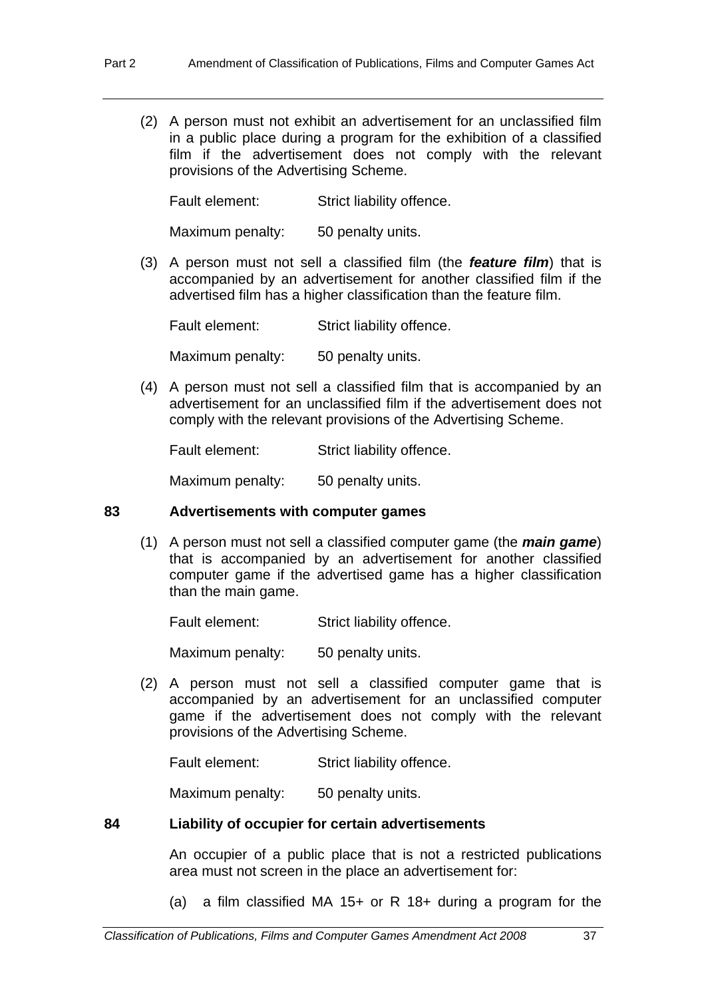(2) A person must not exhibit an advertisement for an unclassified film in a public place during a program for the exhibition of a classified film if the advertisement does not comply with the relevant provisions of the Advertising Scheme.

Fault element: Strict liability offence.

Maximum penalty: 50 penalty units.

 (3) A person must not sell a classified film (the *feature film*) that is accompanied by an advertisement for another classified film if the advertised film has a higher classification than the feature film.

Fault element: Strict liability offence.

Maximum penalty: 50 penalty units.

 (4) A person must not sell a classified film that is accompanied by an advertisement for an unclassified film if the advertisement does not comply with the relevant provisions of the Advertising Scheme.

Fault element: Strict liability offence.

Maximum penalty: 50 penalty units.

#### **83 Advertisements with computer games**

 (1) A person must not sell a classified computer game (the *main game*) that is accompanied by an advertisement for another classified computer game if the advertised game has a higher classification than the main game.

Fault element: Strict liability offence.

Maximum penalty: 50 penalty units.

 (2) A person must not sell a classified computer game that is accompanied by an advertisement for an unclassified computer game if the advertisement does not comply with the relevant provisions of the Advertising Scheme.

Fault element: Strict liability offence.

Maximum penalty: 50 penalty units.

#### **84 Liability of occupier for certain advertisements**

An occupier of a public place that is not a restricted publications area must not screen in the place an advertisement for:

(a) a film classified MA 15+ or R 18+ during a program for the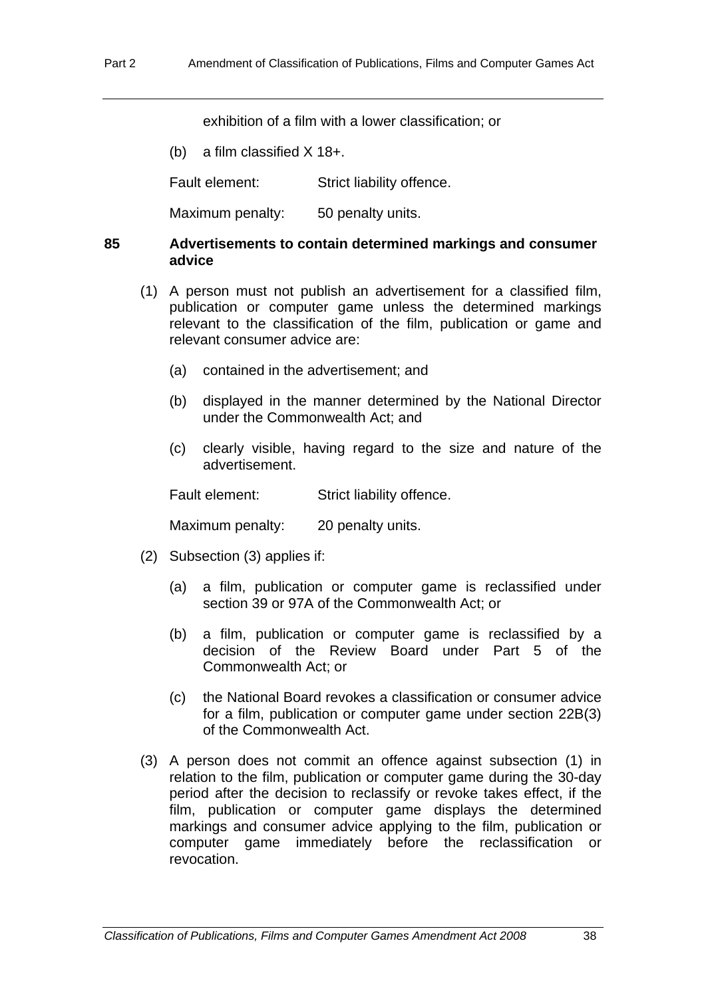exhibition of a film with a lower classification; or

(b) a film classified X 18+.

Fault element: Strict liability offence.

Maximum penalty: 50 penalty units.

### **85 Advertisements to contain determined markings and consumer advice**

- (1) A person must not publish an advertisement for a classified film, publication or computer game unless the determined markings relevant to the classification of the film, publication or game and relevant consumer advice are:
	- (a) contained in the advertisement; and
	- (b) displayed in the manner determined by the National Director under the Commonwealth Act; and
	- (c) clearly visible, having regard to the size and nature of the advertisement.

Fault element: Strict liability offence.

Maximum penalty: 20 penalty units.

- (2) Subsection (3) applies if:
	- (a) a film, publication or computer game is reclassified under section 39 or 97A of the Commonwealth Act; or
	- (b) a film, publication or computer game is reclassified by a decision of the Review Board under Part 5 of the Commonwealth Act; or
	- (c) the National Board revokes a classification or consumer advice for a film, publication or computer game under section 22B(3) of the Commonwealth Act.
- (3) A person does not commit an offence against subsection (1) in relation to the film, publication or computer game during the 30-day period after the decision to reclassify or revoke takes effect, if the film, publication or computer game displays the determined markings and consumer advice applying to the film, publication or computer game immediately before the reclassification or revocation.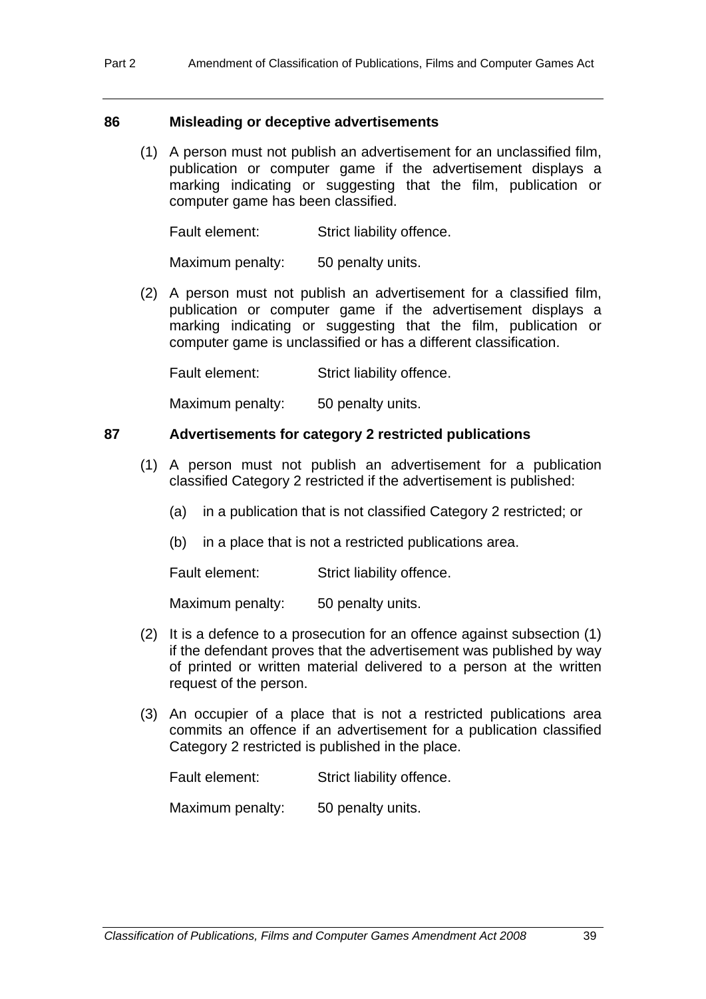#### **86 Misleading or deceptive advertisements**

 (1) A person must not publish an advertisement for an unclassified film, publication or computer game if the advertisement displays a marking indicating or suggesting that the film, publication or computer game has been classified.

Fault element: Strict liability offence.

Maximum penalty: 50 penalty units.

 (2) A person must not publish an advertisement for a classified film, publication or computer game if the advertisement displays a marking indicating or suggesting that the film, publication or computer game is unclassified or has a different classification.

Fault element: Strict liability offence.

Maximum penalty: 50 penalty units.

## **87 Advertisements for category 2 restricted publications**

- (1) A person must not publish an advertisement for a publication classified Category 2 restricted if the advertisement is published:
	- (a) in a publication that is not classified Category 2 restricted; or
	- (b) in a place that is not a restricted publications area.

Fault element: Strict liability offence.

Maximum penalty: 50 penalty units.

- (2) It is a defence to a prosecution for an offence against subsection (1) if the defendant proves that the advertisement was published by way of printed or written material delivered to a person at the written request of the person.
- (3) An occupier of a place that is not a restricted publications area commits an offence if an advertisement for a publication classified Category 2 restricted is published in the place.

Fault element: Strict liability offence.

Maximum penalty: 50 penalty units.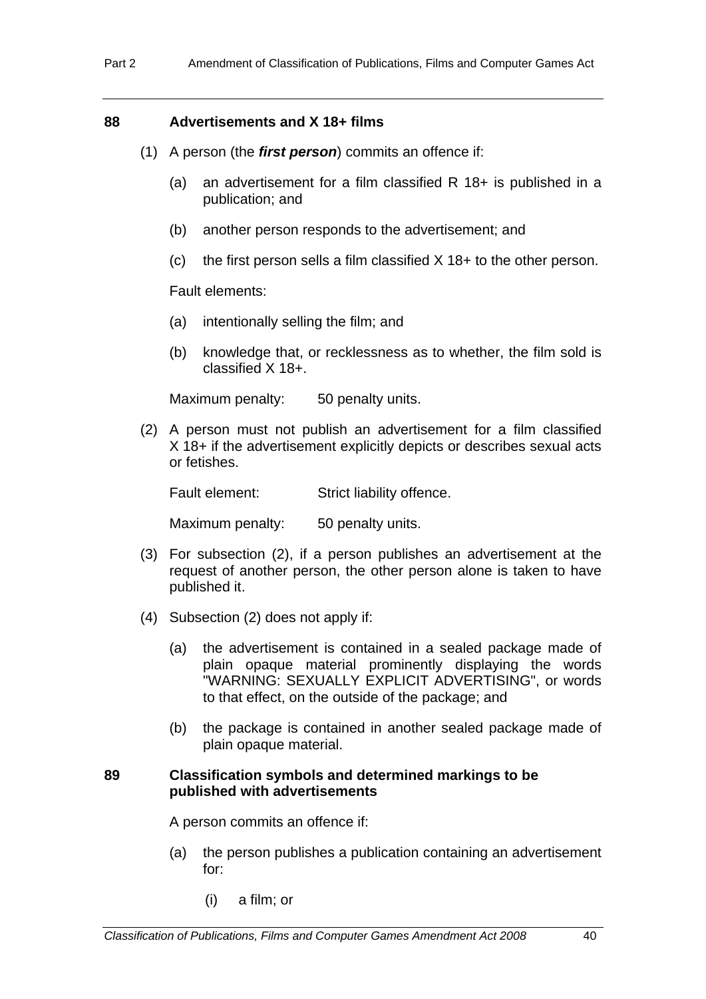### **88 Advertisements and X 18+ films**

- (1) A person (the *first person*) commits an offence if:
	- (a) an advertisement for a film classified R 18+ is published in a publication; and
	- (b) another person responds to the advertisement; and
	- (c) the first person sells a film classified  $X$  18+ to the other person.

Fault elements:

- (a) intentionally selling the film; and
- (b) knowledge that, or recklessness as to whether, the film sold is classified X 18+.

Maximum penalty: 50 penalty units.

 (2) A person must not publish an advertisement for a film classified X 18+ if the advertisement explicitly depicts or describes sexual acts or fetishes.

Fault element: Strict liability offence.

Maximum penalty: 50 penalty units.

- (3) For subsection (2), if a person publishes an advertisement at the request of another person, the other person alone is taken to have published it.
- (4) Subsection (2) does not apply if:
	- (a) the advertisement is contained in a sealed package made of plain opaque material prominently displaying the words "WARNING: SEXUALLY EXPLICIT ADVERTISING", or words to that effect, on the outside of the package; and
	- (b) the package is contained in another sealed package made of plain opaque material.

#### **89 Classification symbols and determined markings to be published with advertisements**

A person commits an offence if:

- (a) the person publishes a publication containing an advertisement for:
	- (i) a film; or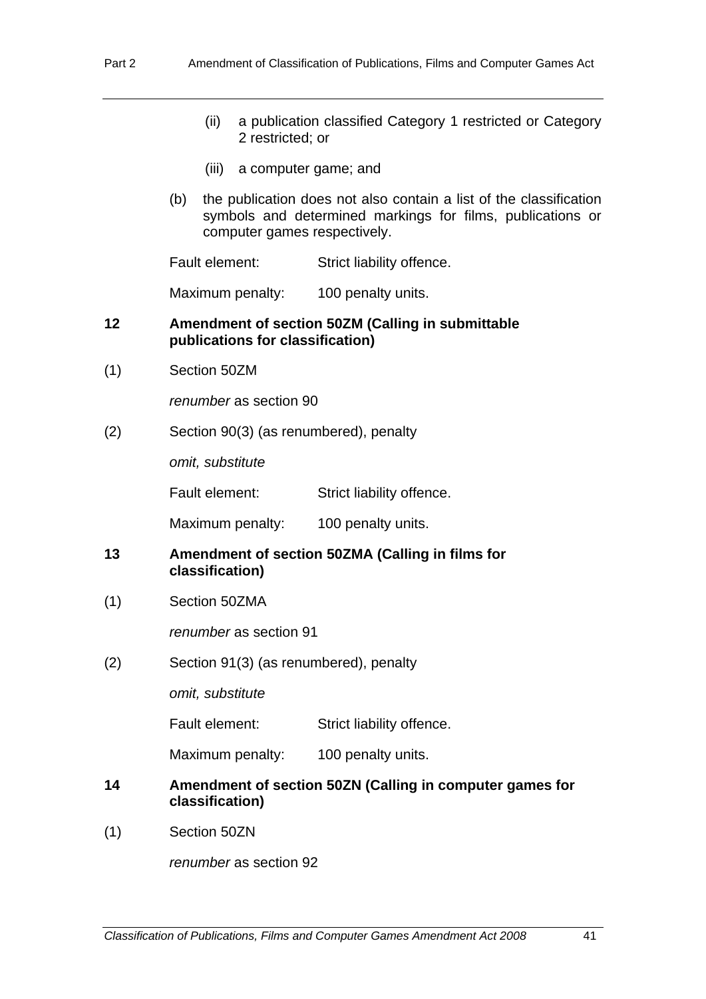- (ii) a publication classified Category 1 restricted or Category 2 restricted; or
- (iii) a computer game; and
- (b) the publication does not also contain a list of the classification symbols and determined markings for films, publications or computer games respectively.

Fault element: Strict liability offence.

Maximum penalty: 100 penalty units.

#### **12 Amendment of section 50ZM (Calling in submittable publications for classification)**

(1) Section 50ZM

*renumber* as section 90

(2) Section 90(3) (as renumbered), penalty

*omit, substitute* 

Fault element: Strict liability offence.

Maximum penalty: 100 penalty units.

- **13 Amendment of section 50ZMA (Calling in films for classification)**
- (1) Section 50ZMA

*renumber* as section 91

(2) Section 91(3) (as renumbered), penalty

*omit, substitute* 

Fault element: Strict liability offence.

Maximum penalty: 100 penalty units.

- **14 Amendment of section 50ZN (Calling in computer games for classification)**
- (1) Section 50ZN

*renumber* as section 92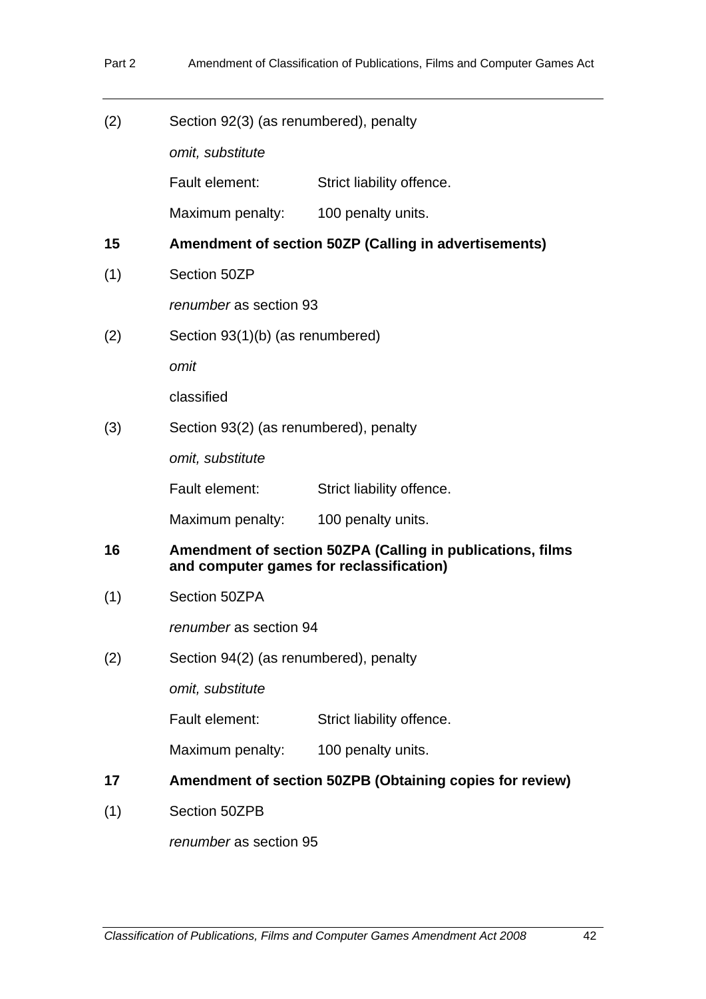| (2) | Section 92(3) (as renumbered), penalty                   |                                                                                                        |  |  |  |
|-----|----------------------------------------------------------|--------------------------------------------------------------------------------------------------------|--|--|--|
|     | omit, substitute                                         |                                                                                                        |  |  |  |
|     | Fault element:                                           | Strict liability offence.                                                                              |  |  |  |
|     | Maximum penalty:                                         | 100 penalty units.                                                                                     |  |  |  |
| 15  |                                                          | Amendment of section 50ZP (Calling in advertisements)                                                  |  |  |  |
| (1) | Section 50ZP                                             |                                                                                                        |  |  |  |
|     |                                                          | renumber as section 93                                                                                 |  |  |  |
| (2) |                                                          | Section 93(1)(b) (as renumbered)                                                                       |  |  |  |
|     | omit                                                     |                                                                                                        |  |  |  |
|     | classified                                               |                                                                                                        |  |  |  |
| (3) |                                                          | Section 93(2) (as renumbered), penalty                                                                 |  |  |  |
|     | omit, substitute                                         |                                                                                                        |  |  |  |
|     | Fault element:                                           | Strict liability offence.                                                                              |  |  |  |
|     | Maximum penalty:                                         | 100 penalty units.                                                                                     |  |  |  |
| 16  |                                                          | Amendment of section 50ZPA (Calling in publications, films<br>and computer games for reclassification) |  |  |  |
| (1) | Section 50ZPA                                            |                                                                                                        |  |  |  |
|     | renumber as section 94                                   |                                                                                                        |  |  |  |
| (2) | Section 94(2) (as renumbered), penalty                   |                                                                                                        |  |  |  |
|     | omit, substitute                                         |                                                                                                        |  |  |  |
|     | Fault element:                                           | Strict liability offence.                                                                              |  |  |  |
|     | Maximum penalty:                                         | 100 penalty units.                                                                                     |  |  |  |
| 17  | Amendment of section 50ZPB (Obtaining copies for review) |                                                                                                        |  |  |  |
| (1) | Section 50ZPB                                            |                                                                                                        |  |  |  |

*renumber* as section 95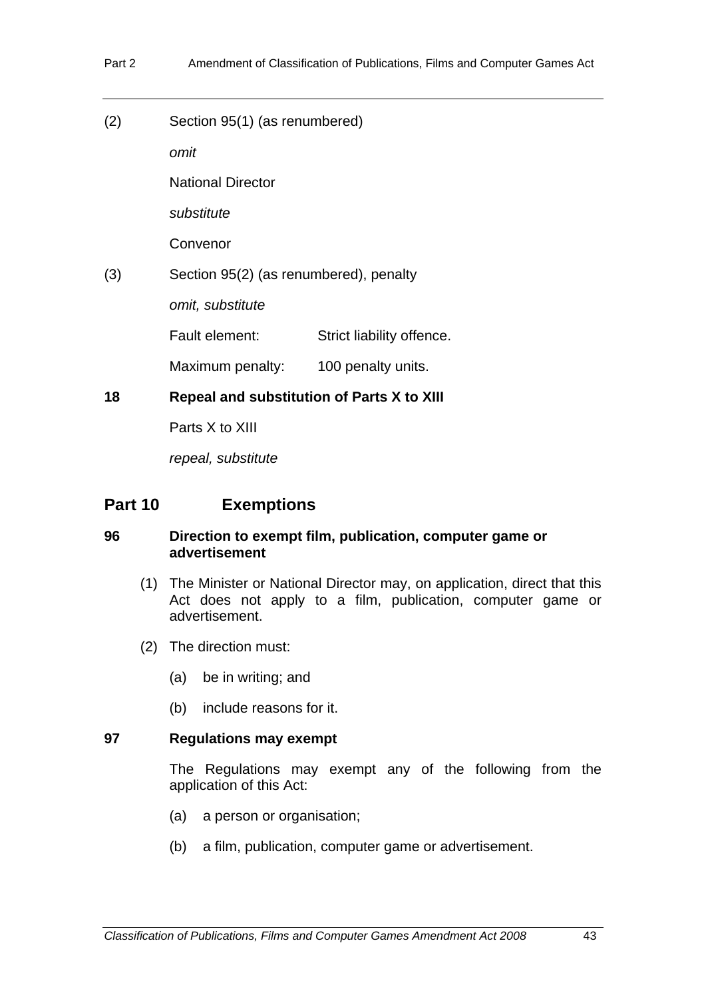(2) Section 95(1) (as renumbered)

*omit* 

National Director

*substitute* 

Convenor

(3) Section 95(2) (as renumbered), penalty

*omit, substitute* 

Fault element: Strict liability offence.

Maximum penalty: 100 penalty units.

**18 Repeal and substitution of Parts X to XIII** 

Parts X to XIII

*repeal, substitute* 

## **Part 10 Exemptions**

## **96 Direction to exempt film, publication, computer game or advertisement**

- (1) The Minister or National Director may, on application, direct that this Act does not apply to a film, publication, computer game or advertisement.
- (2) The direction must:
	- (a) be in writing; and
	- (b) include reasons for it.

## **97 Regulations may exempt**

The Regulations may exempt any of the following from the application of this Act:

- (a) a person or organisation;
- (b) a film, publication, computer game or advertisement.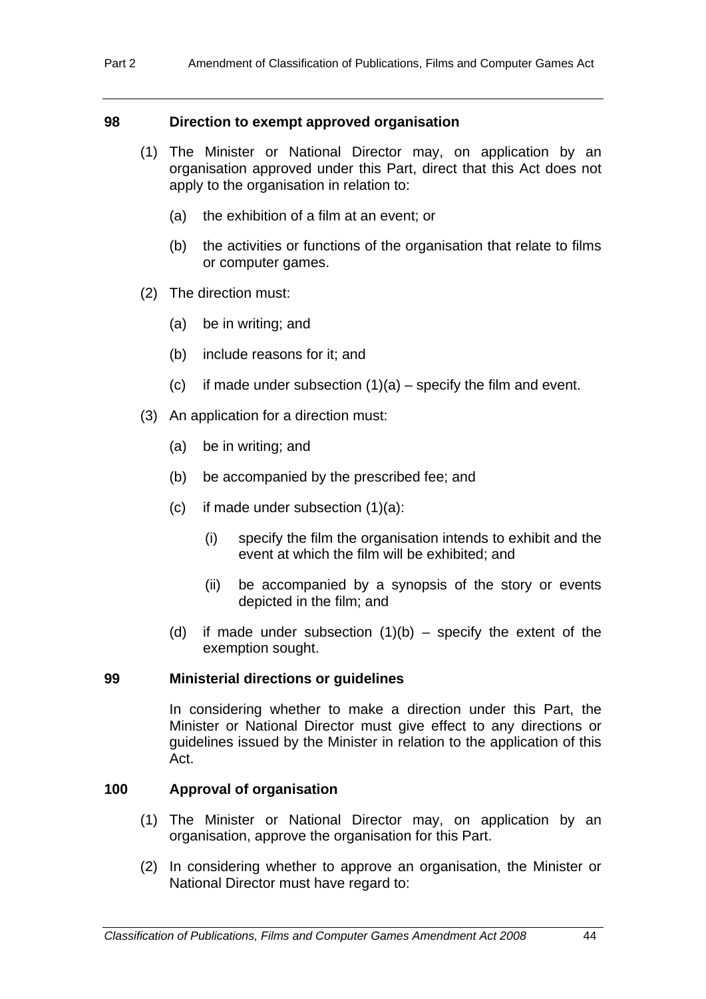#### **98 Direction to exempt approved organisation**

- (1) The Minister or National Director may, on application by an organisation approved under this Part, direct that this Act does not apply to the organisation in relation to:
	- (a) the exhibition of a film at an event; or
	- (b) the activities or functions of the organisation that relate to films or computer games.
- (2) The direction must:
	- (a) be in writing; and
	- (b) include reasons for it; and
	- (c) if made under subsection  $(1)(a)$  specify the film and event.
- (3) An application for a direction must:
	- (a) be in writing; and
	- (b) be accompanied by the prescribed fee; and
	- (c) if made under subsection  $(1)(a)$ :
		- (i) specify the film the organisation intends to exhibit and the event at which the film will be exhibited; and
		- (ii) be accompanied by a synopsis of the story or events depicted in the film; and
	- (d) if made under subsection  $(1)(b)$  specify the extent of the exemption sought.

#### **99 Ministerial directions or guidelines**

In considering whether to make a direction under this Part, the Minister or National Director must give effect to any directions or guidelines issued by the Minister in relation to the application of this Act.

#### **100 Approval of organisation**

- (1) The Minister or National Director may, on application by an organisation, approve the organisation for this Part.
- (2) In considering whether to approve an organisation, the Minister or National Director must have regard to: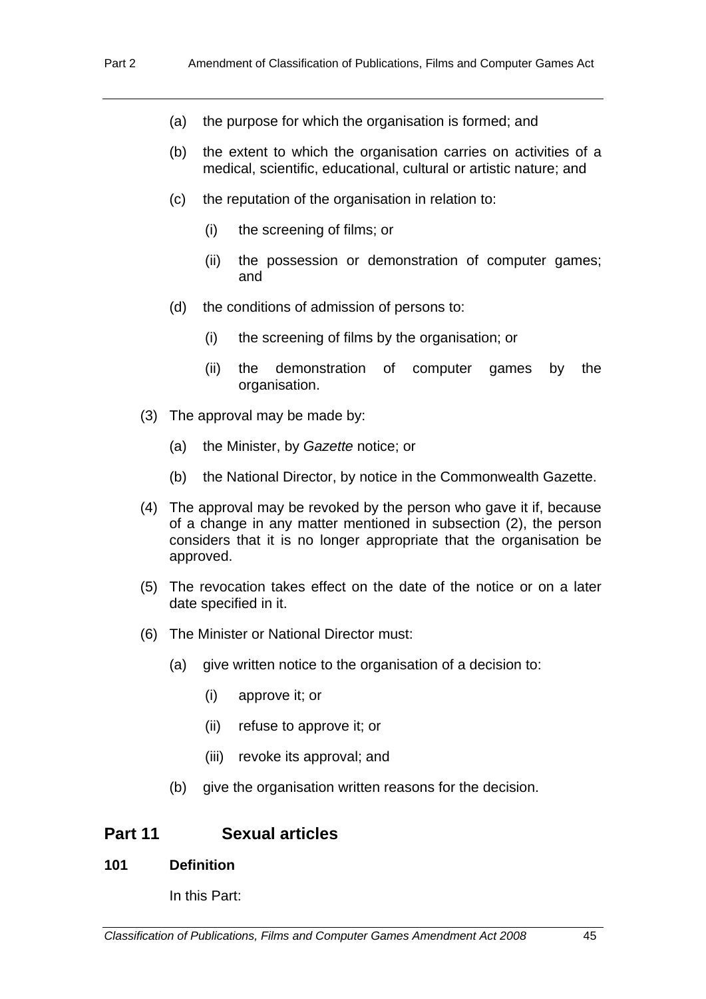- (a) the purpose for which the organisation is formed; and
- (b) the extent to which the organisation carries on activities of a medical, scientific, educational, cultural or artistic nature; and
- (c) the reputation of the organisation in relation to:
	- (i) the screening of films; or
	- (ii) the possession or demonstration of computer games; and
- (d) the conditions of admission of persons to:
	- (i) the screening of films by the organisation; or
	- (ii) the demonstration of computer games by the organisation.
- (3) The approval may be made by:
	- (a) the Minister, by *Gazette* notice; or
	- (b) the National Director, by notice in the Commonwealth Gazette.
- (4) The approval may be revoked by the person who gave it if, because of a change in any matter mentioned in subsection (2), the person considers that it is no longer appropriate that the organisation be approved.
- (5) The revocation takes effect on the date of the notice or on a later date specified in it.
- (6) The Minister or National Director must:
	- (a) give written notice to the organisation of a decision to:
		- (i) approve it; or
		- (ii) refuse to approve it; or
		- (iii) revoke its approval; and
	- (b) give the organisation written reasons for the decision.

## **Part 11 Sexual articles**

## **101 Definition**

In this Part: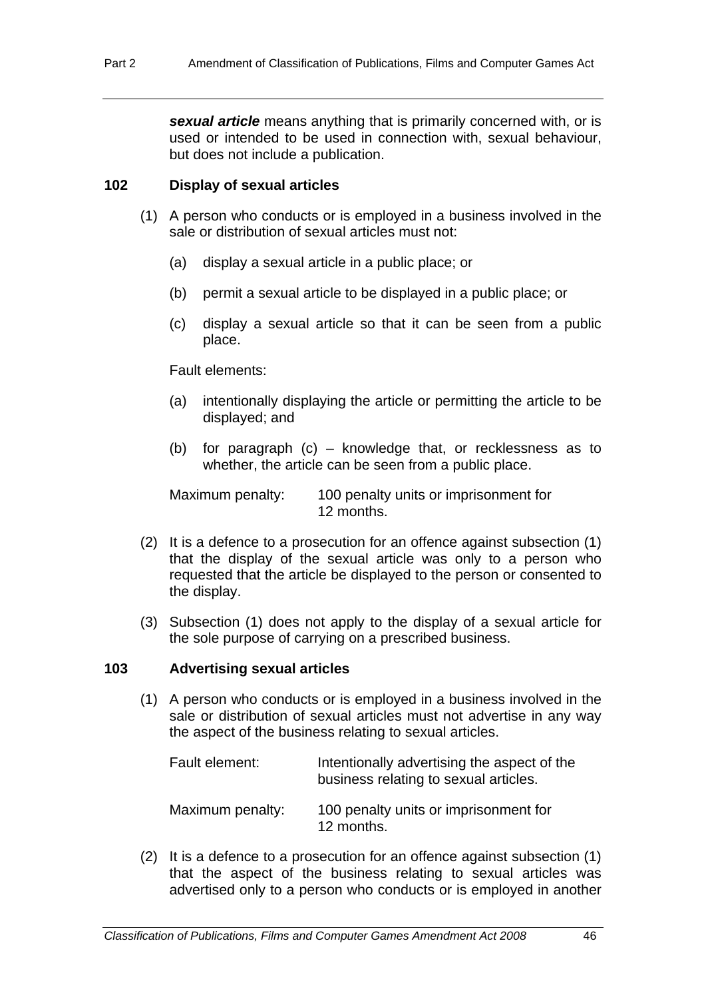*sexual article* means anything that is primarily concerned with, or is used or intended to be used in connection with, sexual behaviour, but does not include a publication.

#### **102 Display of sexual articles**

- (1) A person who conducts or is employed in a business involved in the sale or distribution of sexual articles must not:
	- (a) display a sexual article in a public place; or
	- (b) permit a sexual article to be displayed in a public place; or
	- (c) display a sexual article so that it can be seen from a public place.

#### Fault elements:

- (a) intentionally displaying the article or permitting the article to be displayed; and
- (b) for paragraph (c) knowledge that, or recklessness as to whether, the article can be seen from a public place.

Maximum penalty: 100 penalty units or imprisonment for 12 months.

- (2) It is a defence to a prosecution for an offence against subsection (1) that the display of the sexual article was only to a person who requested that the article be displayed to the person or consented to the display.
- (3) Subsection (1) does not apply to the display of a sexual article for the sole purpose of carrying on a prescribed business.

#### **103 Advertising sexual articles**

 (1) A person who conducts or is employed in a business involved in the sale or distribution of sexual articles must not advertise in any way the aspect of the business relating to sexual articles.

| Fault element:   | Intentionally advertising the aspect of the<br>business relating to sexual articles. |
|------------------|--------------------------------------------------------------------------------------|
| Maximum penalty: | 100 penalty units or imprisonment for<br>12 months.                                  |

 (2) It is a defence to a prosecution for an offence against subsection (1) that the aspect of the business relating to sexual articles was advertised only to a person who conducts or is employed in another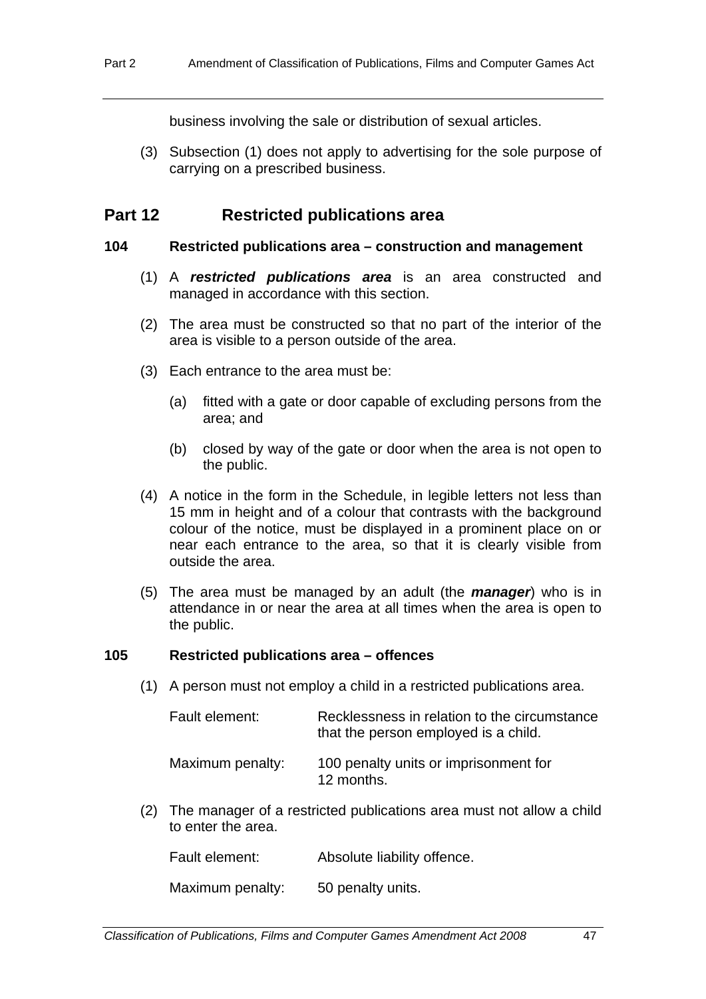business involving the sale or distribution of sexual articles.

 (3) Subsection (1) does not apply to advertising for the sole purpose of carrying on a prescribed business.

## **Part 12 Restricted publications area**

#### **104 Restricted publications area – construction and management**

- (1) A *restricted publications area* is an area constructed and managed in accordance with this section.
- (2) The area must be constructed so that no part of the interior of the area is visible to a person outside of the area.
- (3) Each entrance to the area must be:
	- (a) fitted with a gate or door capable of excluding persons from the area; and
	- (b) closed by way of the gate or door when the area is not open to the public.
- (4) A notice in the form in the Schedule, in legible letters not less than 15 mm in height and of a colour that contrasts with the background colour of the notice, must be displayed in a prominent place on or near each entrance to the area, so that it is clearly visible from outside the area.
- (5) The area must be managed by an adult (the *manager*) who is in attendance in or near the area at all times when the area is open to the public.

#### **105 Restricted publications area – offences**

(1) A person must not employ a child in a restricted publications area.

| Fault element:   | Recklessness in relation to the circumstance<br>that the person employed is a child. |  |
|------------------|--------------------------------------------------------------------------------------|--|
| Maximum penalty: | 100 penalty units or imprisonment for<br>12 months.                                  |  |

 (2) The manager of a restricted publications area must not allow a child to enter the area.

Fault element: Absolute liability offence.

Maximum penalty: 50 penalty units.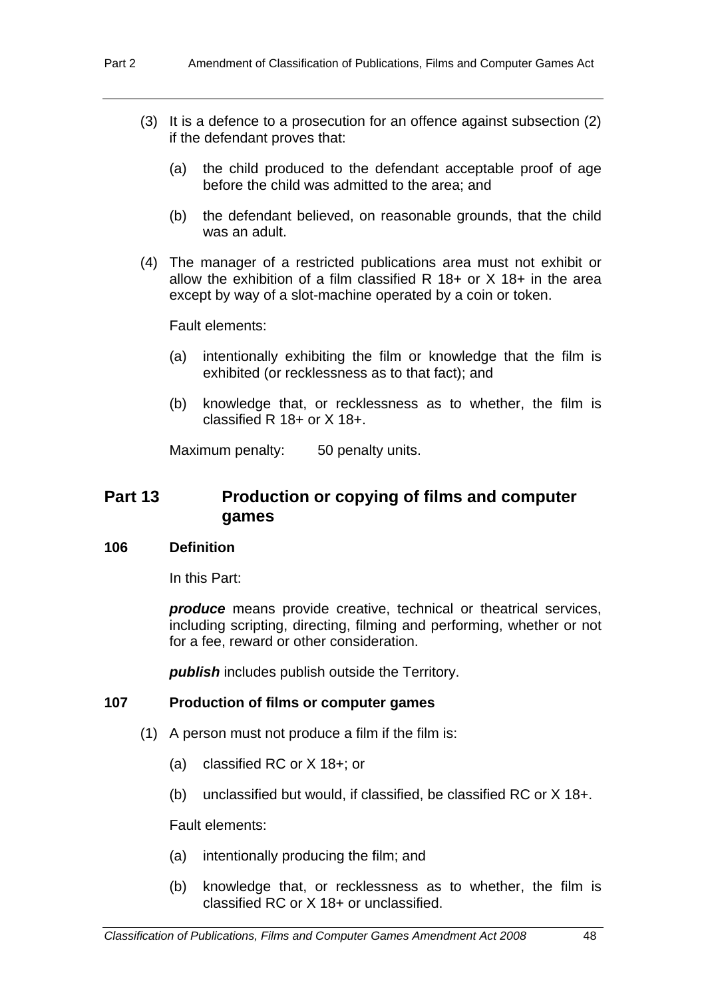- (3) It is a defence to a prosecution for an offence against subsection (2) if the defendant proves that:
	- (a) the child produced to the defendant acceptable proof of age before the child was admitted to the area; and
	- (b) the defendant believed, on reasonable grounds, that the child was an adult.
- (4) The manager of a restricted publications area must not exhibit or allow the exhibition of a film classified R 18+ or X 18+ in the area except by way of a slot-machine operated by a coin or token.

Fault elements:

- (a) intentionally exhibiting the film or knowledge that the film is exhibited (or recklessness as to that fact); and
- (b) knowledge that, or recklessness as to whether, the film is classified R 18+ or X 18+.

Maximum penalty: 50 penalty units.

## **Part 13 Production or copying of films and computer games**

#### **106 Definition**

In this Part:

*produce* means provide creative, technical or theatrical services, including scripting, directing, filming and performing, whether or not for a fee, reward or other consideration.

*publish* includes publish outside the Territory.

#### **107 Production of films or computer games**

- (1) A person must not produce a film if the film is:
	- (a) classified RC or X 18+; or
	- (b) unclassified but would, if classified, be classified RC or X 18+.

Fault elements:

- (a) intentionally producing the film; and
- (b) knowledge that, or recklessness as to whether, the film is classified RC or X 18+ or unclassified.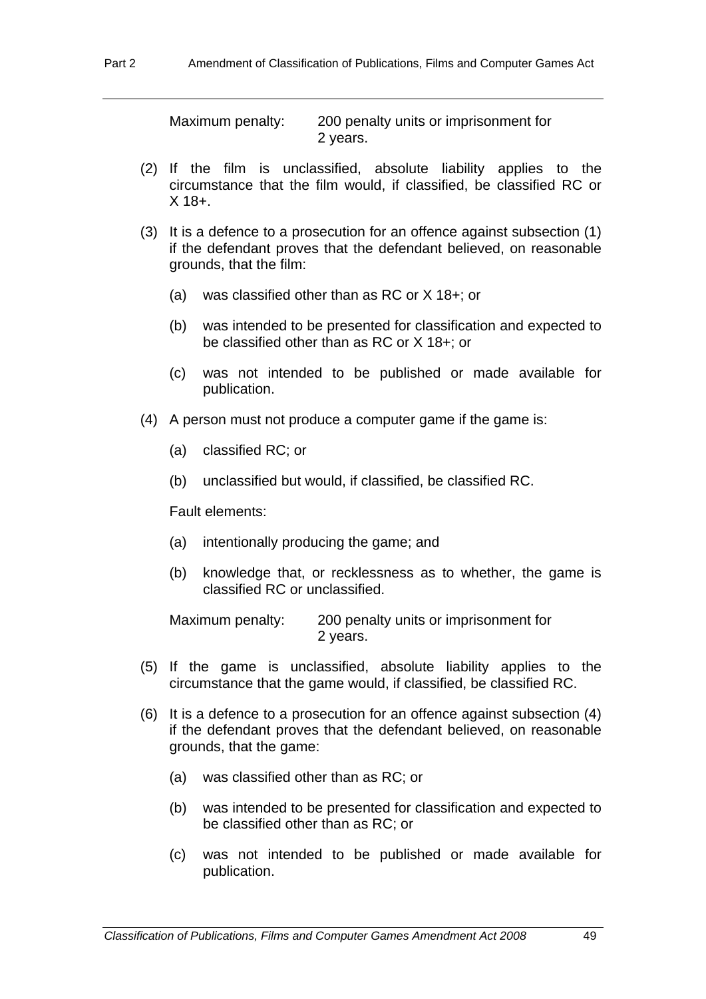Maximum penalty: 200 penalty units or imprisonment for 2 years.

- (2) If the film is unclassified, absolute liability applies to the circumstance that the film would, if classified, be classified RC or  $X$  18+.
- (3) It is a defence to a prosecution for an offence against subsection (1) if the defendant proves that the defendant believed, on reasonable grounds, that the film:
	- (a) was classified other than as RC or X 18+; or
	- (b) was intended to be presented for classification and expected to be classified other than as RC or X 18+; or
	- (c) was not intended to be published or made available for publication.
- (4) A person must not produce a computer game if the game is:
	- (a) classified RC; or
	- (b) unclassified but would, if classified, be classified RC.

Fault elements:

- (a) intentionally producing the game; and
- (b) knowledge that, or recklessness as to whether, the game is classified RC or unclassified.

Maximum penalty: 200 penalty units or imprisonment for 2 years.

- (5) If the game is unclassified, absolute liability applies to the circumstance that the game would, if classified, be classified RC.
- (6) It is a defence to a prosecution for an offence against subsection (4) if the defendant proves that the defendant believed, on reasonable grounds, that the game:
	- (a) was classified other than as RC; or
	- (b) was intended to be presented for classification and expected to be classified other than as RC; or
	- (c) was not intended to be published or made available for publication.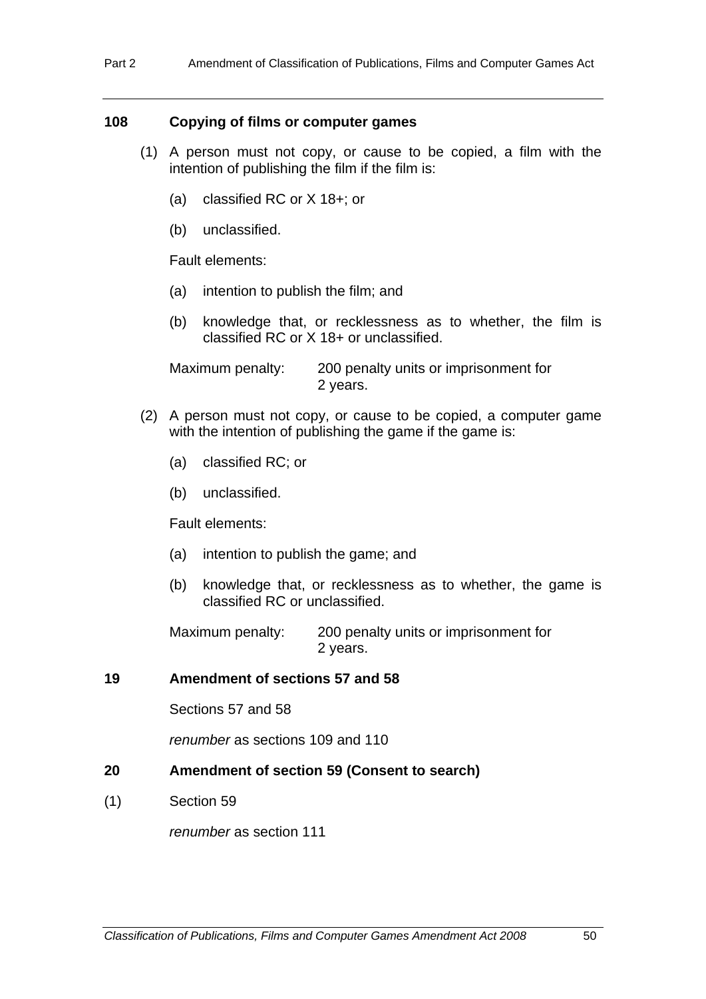### **108 Copying of films or computer games**

- (1) A person must not copy, or cause to be copied, a film with the intention of publishing the film if the film is:
	- (a) classified RC or X 18+; or
	- (b) unclassified.

Fault elements:

- (a) intention to publish the film; and
- (b) knowledge that, or recklessness as to whether, the film is classified RC or X 18+ or unclassified.

Maximum penalty: 200 penalty units or imprisonment for 2 years.

- (2) A person must not copy, or cause to be copied, a computer game with the intention of publishing the game if the game is:
	- (a) classified RC; or
	- (b) unclassified.

Fault elements:

- (a) intention to publish the game; and
- (b) knowledge that, or recklessness as to whether, the game is classified RC or unclassified.

Maximum penalty: 200 penalty units or imprisonment for 2 years.

#### **19 Amendment of sections 57 and 58**

Sections 57 and 58

*renumber* as sections 109 and 110

#### **20 Amendment of section 59 (Consent to search)**

(1) Section 59

*renumber* as section 111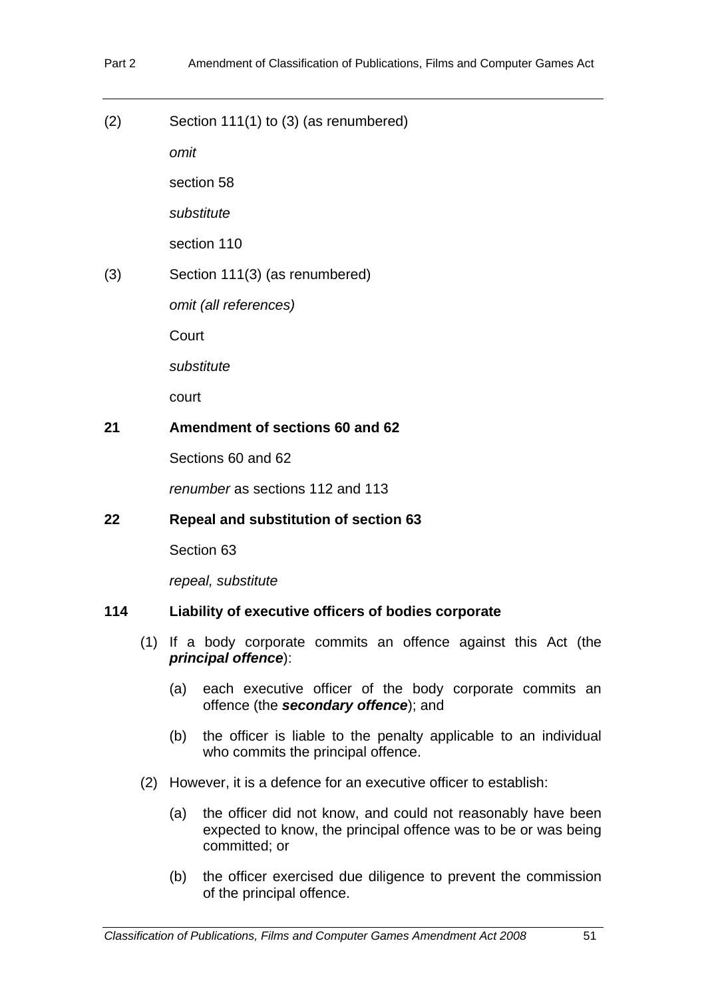(2) Section 111(1) to (3) (as renumbered)

*omit*

section 58

*substitute* 

section 110

(3) Section 111(3) (as renumbered)

*omit (all references)*

**Court** 

*substitute* 

court

#### **21 Amendment of sections 60 and 62**

Sections 60 and 62

*renumber* as sections 112 and 113

## **22 Repeal and substitution of section 63**

Section 63

*repeal, substitute* 

### **114 Liability of executive officers of bodies corporate**

- (1) If a body corporate commits an offence against this Act (the *principal offence*):
	- (a) each executive officer of the body corporate commits an offence (the *secondary offence*); and
	- (b) the officer is liable to the penalty applicable to an individual who commits the principal offence.
- (2) However, it is a defence for an executive officer to establish:
	- (a) the officer did not know, and could not reasonably have been expected to know, the principal offence was to be or was being committed; or
	- (b) the officer exercised due diligence to prevent the commission of the principal offence.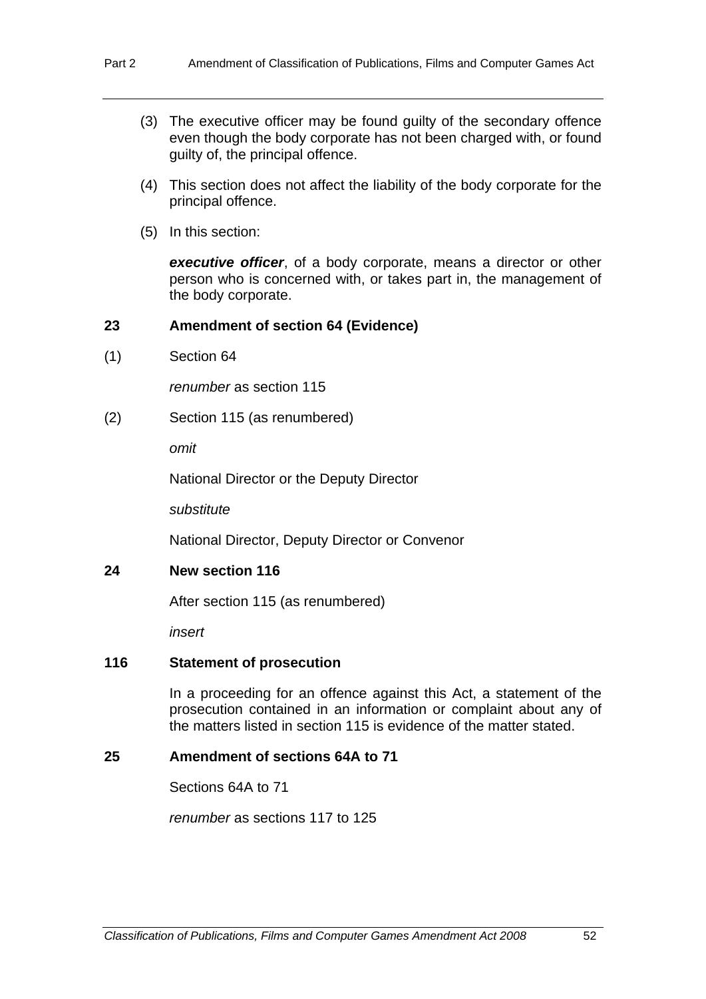- (3) The executive officer may be found guilty of the secondary offence even though the body corporate has not been charged with, or found guilty of, the principal offence.
- (4) This section does not affect the liability of the body corporate for the principal offence.
- (5) In this section:

*executive officer*, of a body corporate, means a director or other person who is concerned with, or takes part in, the management of the body corporate.

## **23 Amendment of section 64 (Evidence)**

(1) Section 64

*renumber* as section 115

(2) Section 115 (as renumbered)

*omit*

National Director or the Deputy Director

*substitute* 

National Director, Deputy Director or Convenor

## **24 New section 116**

After section 115 (as renumbered)

*insert* 

#### **116 Statement of prosecution**

In a proceeding for an offence against this Act, a statement of the prosecution contained in an information or complaint about any of the matters listed in section 115 is evidence of the matter stated.

#### **25 Amendment of sections 64A to 71**

Sections 64A to 71

*renumber* as sections 117 to 125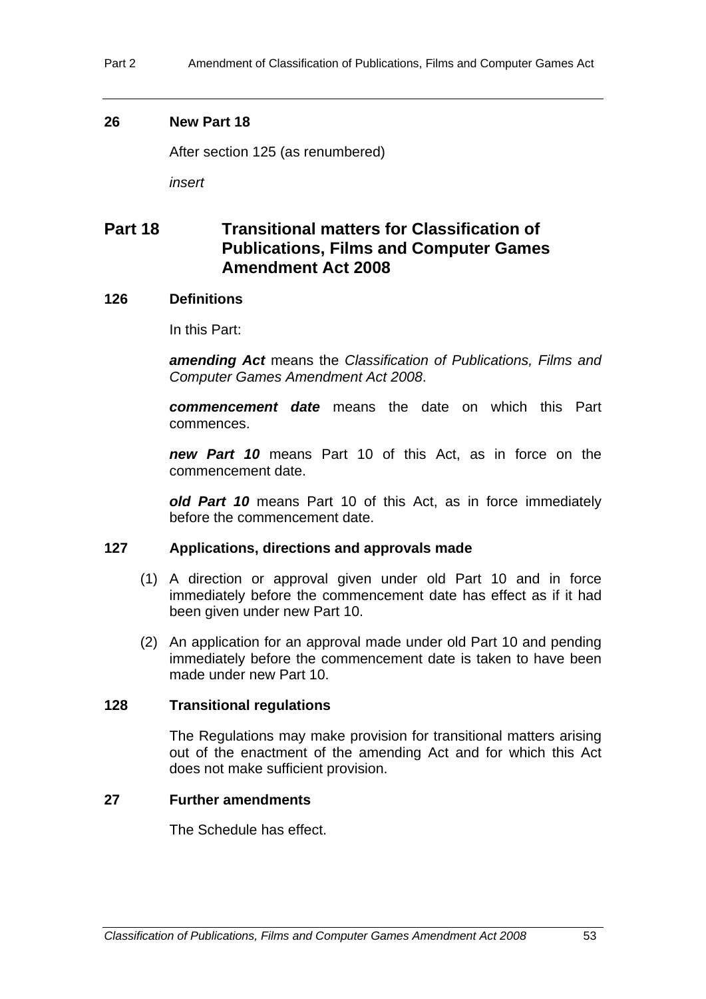Part 2 Amendment of Classification of Publications, Films and Computer Games Act

### **26 New Part 18**

After section 125 (as renumbered)

*insert*

## **Part 18 Transitional matters for Classification of Publications, Films and Computer Games Amendment Act 2008**

## **126 Definitions**

In this Part:

*amending Act* means the *Classification of Publications, Films and Computer Games Amendment Act 2008*.

*commencement date* means the date on which this Part commences.

*new Part 10* means Part 10 of this Act, as in force on the commencement date.

*old Part 10* means Part 10 of this Act, as in force immediately before the commencement date.

## **127 Applications, directions and approvals made**

- (1) A direction or approval given under old Part 10 and in force immediately before the commencement date has effect as if it had been given under new Part 10.
- (2) An application for an approval made under old Part 10 and pending immediately before the commencement date is taken to have been made under new Part 10.

## **128 Transitional regulations**

The Regulations may make provision for transitional matters arising out of the enactment of the amending Act and for which this Act does not make sufficient provision.

## **27 Further amendments**

The Schedule has effect.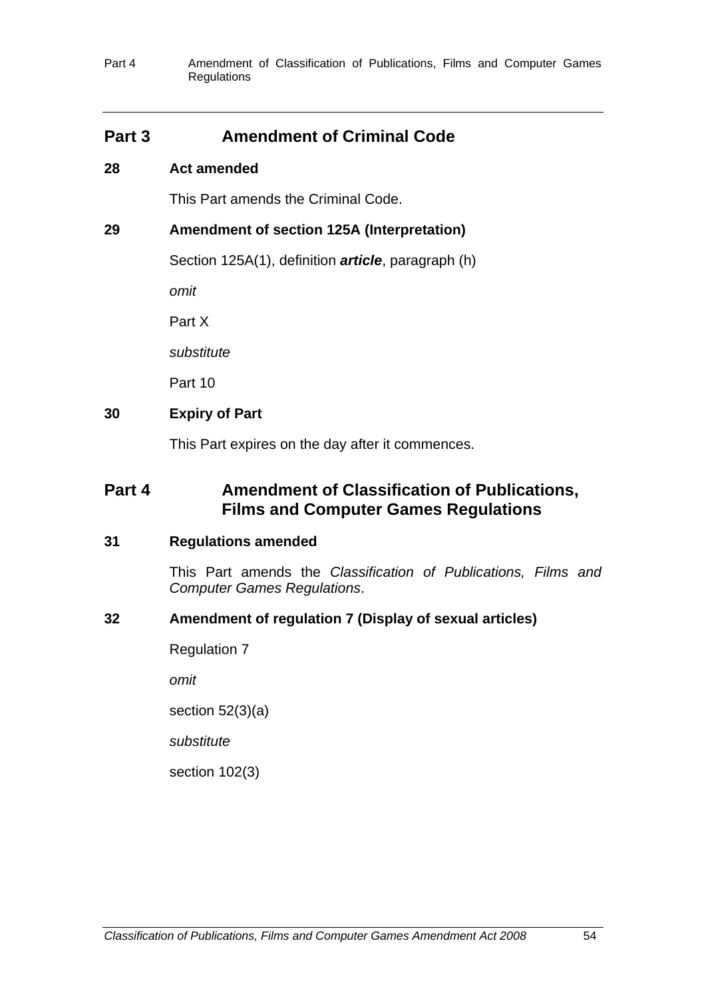## **Part 3** Amendment of Criminal Code

## **28 Act amended**

This Part amends the Criminal Code.

## **29 Amendment of section 125A (Interpretation)**

Section 125A(1), definition *article*, paragraph (h)

*omit* 

Part X

*substitute* 

Part 10

## **30 Expiry of Part**

This Part expires on the day after it commences.

## **Part 4 Amendment of Classification of Publications, Films and Computer Games Regulations**

## **31 Regulations amended**

This Part amends the *Classification of Publications, Films and Computer Games Regulations*.

## **32 Amendment of regulation 7 (Display of sexual articles)**

Regulation 7

*omit* 

section 52(3)(a)

*substitute* 

section 102(3)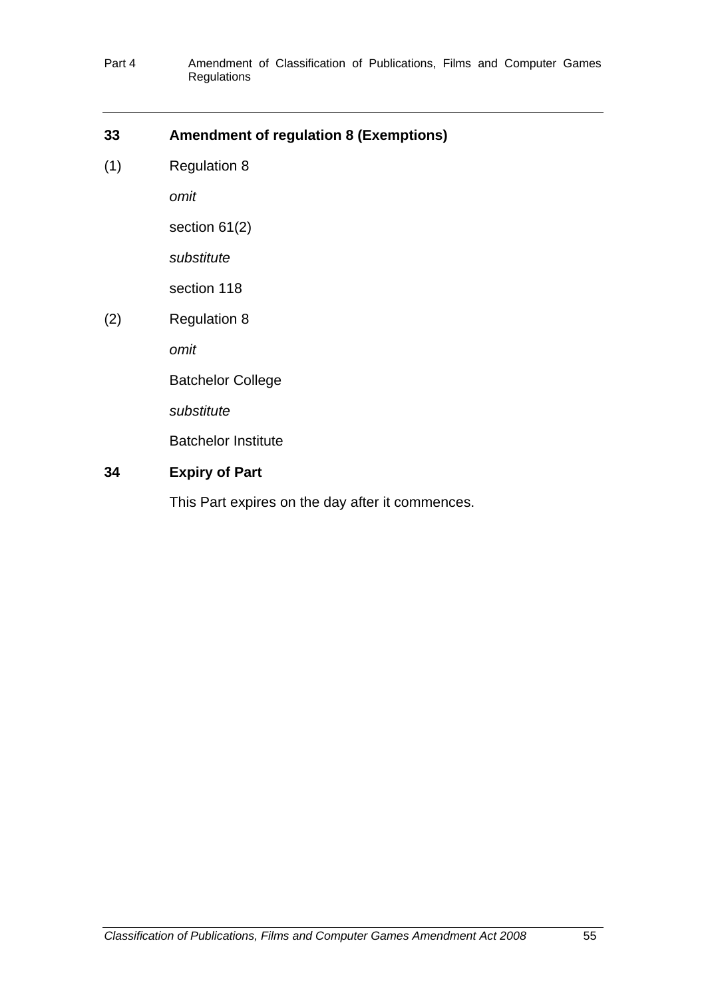## **33 Amendment of regulation 8 (Exemptions)**

(1) Regulation 8

*omit* 

section 61(2)

*substitute* 

section 118

(2) Regulation 8

*omit* 

Batchelor College

*substitute* 

Batchelor Institute

## **34 Expiry of Part**

This Part expires on the day after it commences.